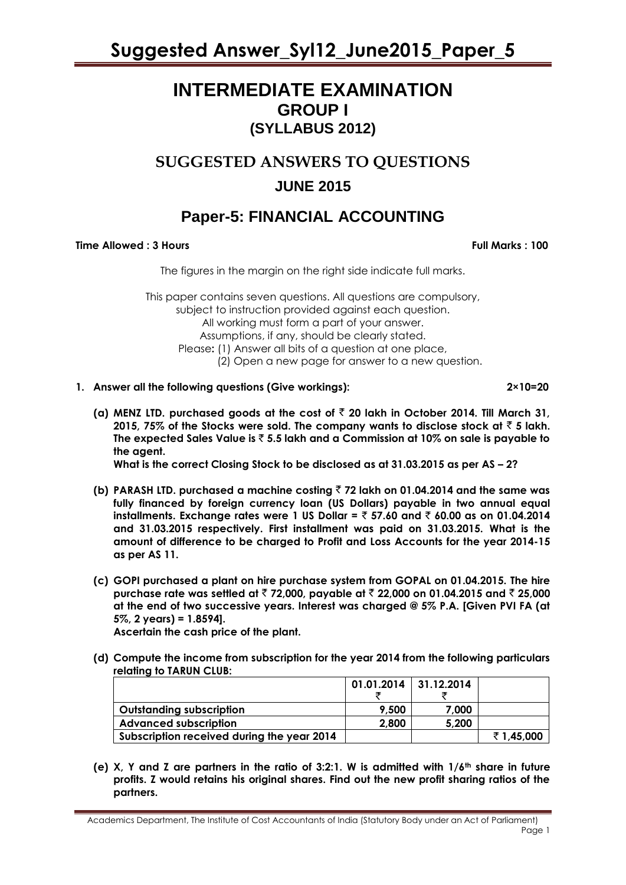### **INTERMEDIATE EXAMINATION GROUP I (SYLLABUS 2012)**

### **SUGGESTED ANSWERS TO QUESTIONS**

### **JUNE 2015**

### **Paper-5: FINANCIAL ACCOUNTING**

#### **Time Allowed : 3 Hours Full Marks Full Marks : 100**

The figures in the margin on the right side indicate full marks.

This paper contains seven questions. All questions are compulsory, subject to instruction provided against each question. All working must form a part of your answer. Assumptions, if any, should be clearly stated. Please**:** (1) Answer all bits of a question at one place, (2) Open a new page for answer to a new question.

**1. Answer all the following questions (Give workings): 2×10=20**

(a) MENZ LTD. purchased goods at the cost of  $\bar{\tau}$  20 lakh in October 2014. Till March 31, **2015, 75% of the Stocks were sold. The company wants to disclose stock at**  $\bar{z}$  **5 lakh. The expected Sales Value is** ` **5.5 lakh and a Commission at 10% on sale is payable to the agent.**

**What is the correct Closing Stock to be disclosed as at 31.03.2015 as per AS – 2?**

- **(b) PARASH LTD. purchased a machine costing** ` **72 lakh on 01.04.2014 and the same was fully financed by foreign currency loan (US Dollars) payable in two annual equal installments. Exchange rates were 1 US Dollar =** ` **57.60 and** ` **60.00 as on 01.04.2014 and 31.03.2015 respectively. First installment was paid on 31.03.2015. What is the amount of difference to be charged to Profit and Loss Accounts for the year 2014-15 as per AS 11.**
- **(c) GOPI purchased a plant on hire purchase system from GOPAL on 01.04.2015. The hire purchase rate was settled at** ` **72,000, payable at** ` **22,000 on 01.04.2015 and** ` **25,000 at the end of two successive years. Interest was charged @ 5% P.A. [Given PVI FA (at 5%, 2 years) = 1.8594].**

**Ascertain the cash price of the plant.** 

**(d) Compute the income from subscription for the year 2014 from the following particulars relating to TARUN CLUB:**

|                                            | $01.01.2014$ 31.12.2014 |       |           |
|--------------------------------------------|-------------------------|-------|-----------|
|                                            |                         |       |           |
| <b>Outstanding subscription</b>            | 9,500                   | 7,000 |           |
| <b>Advanced subscription</b>               | 2,800                   | 5,200 |           |
| Subscription received during the year 2014 |                         |       | ₹1,45,000 |

**(e) X, Y and Z are partners in the ratio of 3:2:1. W is admitted with 1/6th share in future profits. Z would retains his original shares. Find out the new profit sharing ratios of the partners.**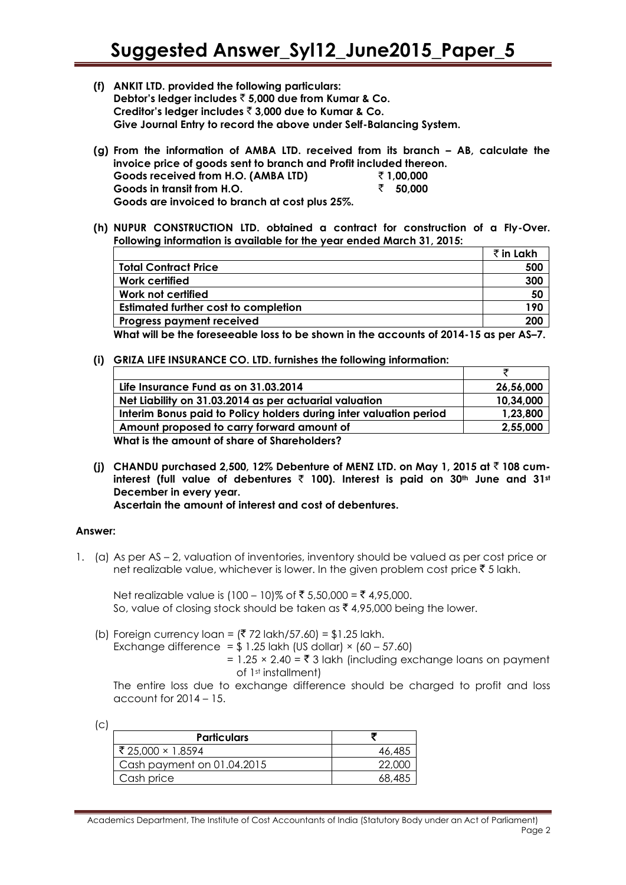- **(f) ANKIT LTD. provided the following particulars: Debtor's ledger includes** ` **5,000 due from Kumar & Co. Creditor's ledger includes** ` **3,000 due to Kumar & Co. Give Journal Entry to record the above under Self-Balancing System.**
- **(g) From the information of AMBA LTD. received from its branch – AB, calculate the invoice price of goods sent to branch and Profit included thereon. Goods received from H.O. (AMBA LTD)** ` **1,00,000 Goods in transit from H.O.** ` **50,000 Goods are invoiced to branch at cost plus 25%.**
- **(h) NUPUR CONSTRUCTION LTD. obtained a contract for construction of a Fly-Over. Following information is available for the year ended March 31, 2015:**

|                                                                                       | $\bar{\tau}$ in Lakh |
|---------------------------------------------------------------------------------------|----------------------|
| <b>Total Contract Price</b>                                                           | 500                  |
| Work certified                                                                        | 300                  |
| Work not certified                                                                    | 50                   |
| <b>Estimated further cost to completion</b>                                           | 190                  |
| Progress payment received                                                             | 200                  |
| What will be the foreseeable loss to be shown in the accounts of 2014-15 as per AS–7. |                      |

**(i) GRIZA LIFE INSURANCE CO. LTD. furnishes the following information:**

| Life Insurance Fund as on 31.03.2014                               | 26,56,000 |
|--------------------------------------------------------------------|-----------|
| Net Liability on 31.03.2014 as per actuarial valuation             | 10,34,000 |
| Interim Bonus paid to Policy holders during inter valuation period | 1,23,800  |
| Amount proposed to carry forward amount of                         | 2,55,000  |
| What is the amount of share of Shareholders?                       |           |

**(j) CHANDU purchased 2,500, 12% Debenture of MENZ LTD. on May 1, 2015 at** ` **108 cuminterest (full value of debentures** ` **100). Interest is paid on 30th June and 31st December in every year.** 

**Ascertain the amount of interest and cost of debentures.** 

#### **Answer:**

1. (a) As per AS – 2, valuation of inventories, inventory should be valued as per cost price or net realizable value, whichever is lower. In the given problem cost price  $\bar{\tau}$  5 lakh.

Net realizable value is  $(100 - 10)$ % of ₹ 5,50,000 = ₹ 4,95,000. So, value of closing stock should be taken as  $\bar{\tau}$  4,95,000 being the lower.

(b) Foreign currency loan =  $(272 \text{ lakh}/57.60) = $1.25 \text{ lakh}$ .

Exchange difference = 
$$
$ 1.25
$$
 lakh (US dollar) × (60 – 57.60)

=  $1.25 \times 2.40 = \overline{5}$  3 lakh (including exchange loans on payment of 1st installment)

The entire loss due to exchange difference should be charged to profit and loss account for  $2014 - 15$ .

(c)

| <b>Particulars</b>         |        |
|----------------------------|--------|
| ₹ 25,000 × 1.8594          | 46,485 |
| Cash payment on 01.04.2015 | 22,000 |
| Cash price                 | 68,485 |

Academics Department, The Institute of Cost Accountants of India (Statutory Body under an Act of Parliament) Page 2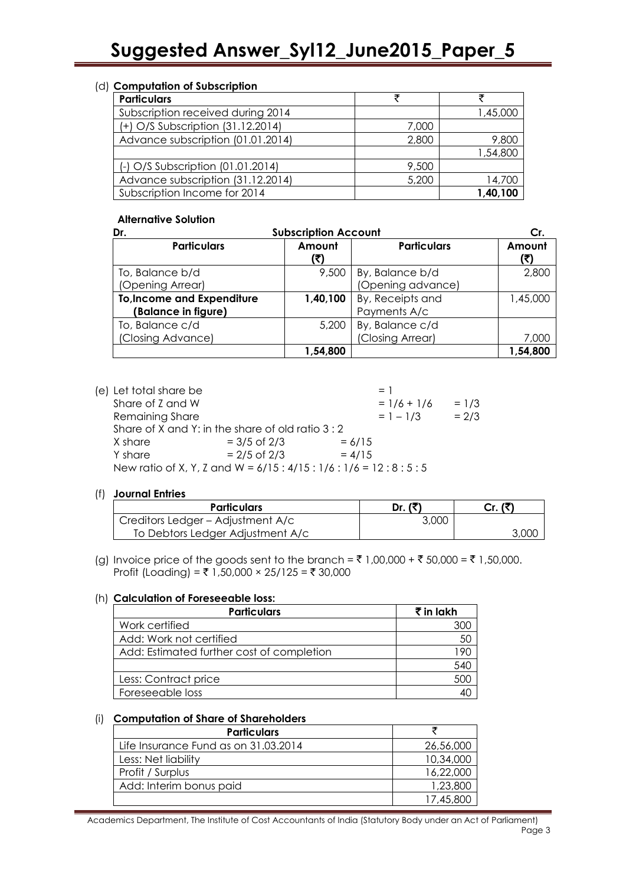#### (d) **Computation of Subscription**

| <b>Particulars</b>                |       |          |
|-----------------------------------|-------|----------|
| Subscription received during 2014 |       | 1,45,000 |
| (+) O/S Subscription (31.12.2014) | 7,000 |          |
| Advance subscription (01.01.2014) | 2,800 | 9,800    |
|                                   |       | 1,54,800 |
| (-) O/S Subscription (01.01.2014) | 9,500 |          |
| Advance subscription (31.12.2014) | 5,200 | 14,700   |
| Subscription Income for 2014      |       | 1,40,100 |

#### **Alternative Solution**

| <b>Subscription Account</b><br>Dr. |               | Cr.                |               |
|------------------------------------|---------------|--------------------|---------------|
| <b>Particulars</b>                 | Amount<br>(₹) | <b>Particulars</b> | Amount<br>(₹) |
| To, Balance b/d                    | 9,500         | By, Balance b/d    | 2,800         |
| (Opening Arrear)                   |               | (Opening advance)  |               |
| <b>To, Income and Expenditure</b>  | 1,40,100      | By, Receipts and   | 1,45,000      |
| (Balance in figure)                |               | Payments A/c       |               |
| To, Balance c/d                    | 5,200         | By, Balance c/d    |               |
| (Closing Advance)                  |               | (Closing Arrear)   | 7,000         |
|                                    | 1,54,800      |                    | 1,54,800      |

 $(e)$  Let total sh

| Let fotal share be |                                                 | $=$ $\blacksquare$                                          |         |
|--------------------|-------------------------------------------------|-------------------------------------------------------------|---------|
| Share of Z and W   |                                                 | $= 1/6 + 1/6$                                               | $= 1/3$ |
| Remaining Share    |                                                 | $= 1 - 1/3$                                                 | $= 2/3$ |
|                    | Share of X and Y: in the share of old ratio 3:2 |                                                             |         |
| X share            | $= 3/5$ of 2/3                                  | $= 6/15$                                                    |         |
| Y share            | $= 2/5$ of 2/3                                  | $= 4/15$                                                    |         |
|                    |                                                 | New ratio of X, Y, Z and W = $6/15:4/15:1/6:1/6 = 12:8:5:5$ |         |

#### (f) **Journal Entries**

| <b>Particulars</b>                | Dr. (₹` | Cr. (₹) |
|-----------------------------------|---------|---------|
| Creditors Ledger - Adjustment A/c | 3,000   |         |
| To Debtors Ledger Adjustment A/c  |         | 3,000   |

(g) Invoice price of the goods sent to the branch =  $\bar{f}$  1,00,000 +  $\bar{f}$  50,000 =  $\bar{f}$  1,50,000. Profit (Loading) = ₹ 1,50,000 × 25/125 = ₹ 30,000

#### (h) **Calculation of Foreseeable loss:**

| <b>Particulars</b>                        | $\bar{\tau}$ in lakh |
|-------------------------------------------|----------------------|
| Work certified                            |                      |
| Add: Work not certified                   | 5С                   |
| Add: Estimated further cost of completion |                      |
|                                           | 54C                  |
| Less: Contract price                      |                      |
| Foreseeable loss                          |                      |

#### (i) **Computation of Share of Shareholders**

| <b>Particulars</b>                   |           |
|--------------------------------------|-----------|
| Life Insurance Fund as on 31.03.2014 | 26,56,000 |
| Less: Net liability                  | 10,34,000 |
| Profit / Surplus                     | 16,22,000 |
| Add: Interim bonus paid              | 1,23,800  |
|                                      | 17,45,800 |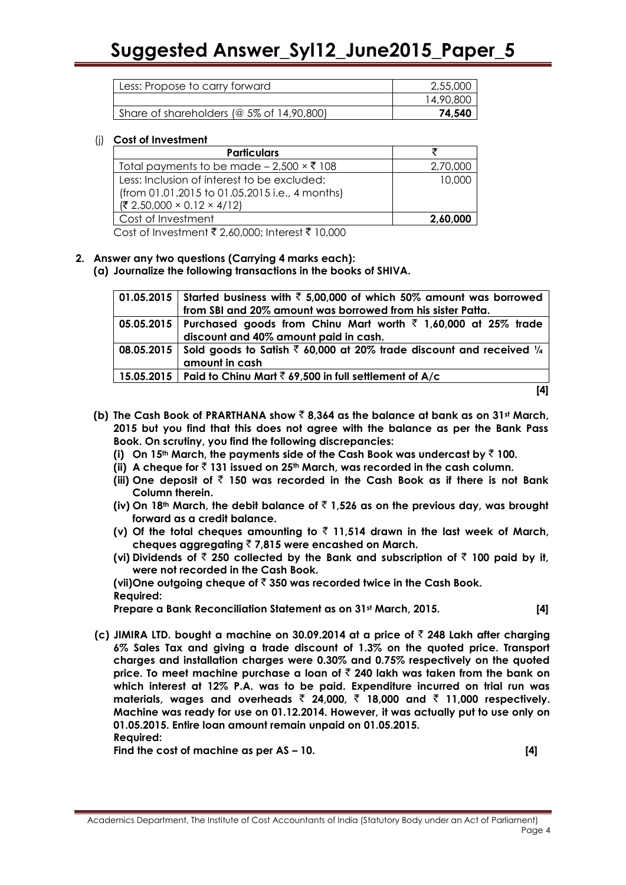| Less: Propose to carry forward               | 2,55,000  |
|----------------------------------------------|-----------|
|                                              | 14,90,800 |
| Share of shareholders ( $@$ 5% of 14,90,800) | 74,540    |

#### (j) **Cost of Investment**

| <b>Particulars</b>                                         |          |
|------------------------------------------------------------|----------|
| Total payments to be made $-2,500 \times \overline{5}$ 108 | 2,70,000 |
| Less: Inclusion of interest to be excluded:                | 10,000   |
| (from 01.01.2015 to 01.05.2015 i.e., 4 months)             |          |
| $({\overline{\xi}} 2,50,000 \times 0.12 \times 4/12)$      |          |
| Cost of Investment                                         | 2,60,000 |

Cost of Investment  $\bar{\xi}$  2,60,000; Interest  $\bar{\xi}$  10,000

#### **2. Answer any two questions (Carrying 4 marks each):**

**(a) Journalize the following transactions in the books of SHIVA.**

| 01.05.2015 Started business with $\bar{\tau}$ 5,00,000 of which 50% amount was borrowed<br>from SBI and 20% amount was borrowed from his sister Patta. |
|--------------------------------------------------------------------------------------------------------------------------------------------------------|
| 05.05.2015   Purchased goods from Chinu Mart worth $\bar{\tau}$ 1,60,000 at 25% trade<br>discount and 40% amount paid in cash.                         |
| 08.05.2015 Sold goods to Satish $\bar{\tau}$ 60,000 at 20% trade discount and received $\frac{1}{4}$<br>amount in cash                                 |
| 15.05.2015   Paid to Chinu Mart $\bar{z}$ 69,500 in full settlement of A/c                                                                             |
|                                                                                                                                                        |

- **(b) The Cash Book of PRARTHANA show** ` **8,364 as the balance at bank as on 31st March, 2015 but you find that this does not agree with the balance as per the Bank Pass Book. On scrutiny, you find the following discrepancies:** 
	- **(i)** On 15<sup>th</sup> March, the payments side of the Cash Book was undercast by  $\bar{z}$  100.
	- **(ii) A cheque for** ` **131 issued on 25th March, was recorded in the cash column.**
	- (iii) One deposit of  $\bar{\tau}$  150 was recorded in the Cash Book as if there is not Bank **Column therein.**
	- **(iv) On 18th March, the debit balance of** ` **1,526 as on the previous day, was brought forward as a credit balance.**
	- (v) Of the total cheques amounting to  $\bar{\tau}$  11,514 drawn in the last week of March, **cheques aggregating** ` **7,815 were encashed on March.**
	- **(vi) Dividends of** ` **250 collected by the Bank and subscription of** ` **100 paid by it, were not recorded in the Cash Book.**

**(vii)One outgoing cheque of** ` **350 was recorded twice in the Cash Book. Required:** 

**Prepare a Bank Reconciliation Statement as on 31st March, 2015. [4]**

- 
- **(c) JIMIRA LTD. bought a machine on 30.09.2014 at a price of** ` **248 Lakh after charging 6% Sales Tax and giving a trade discount of 1.3% on the quoted price. Transport charges and installation charges were 0.30% and 0.75% respectively on the quoted price. To meet machine purchase a loan of** ` **240 lakh was taken from the bank on which interest at 12% P.A. was to be paid. Expenditure incurred on trial run was materials, wages and overheads** ` **24,000,** ` **18,000 and** ` **11,000 respectively. Machine was ready for use on 01.12.2014. However, it was actually put to use only on 01.05.2015. Entire loan amount remain unpaid on 01.05.2015. Required:**

**Find the cost of machine as per AS – 10. [4]**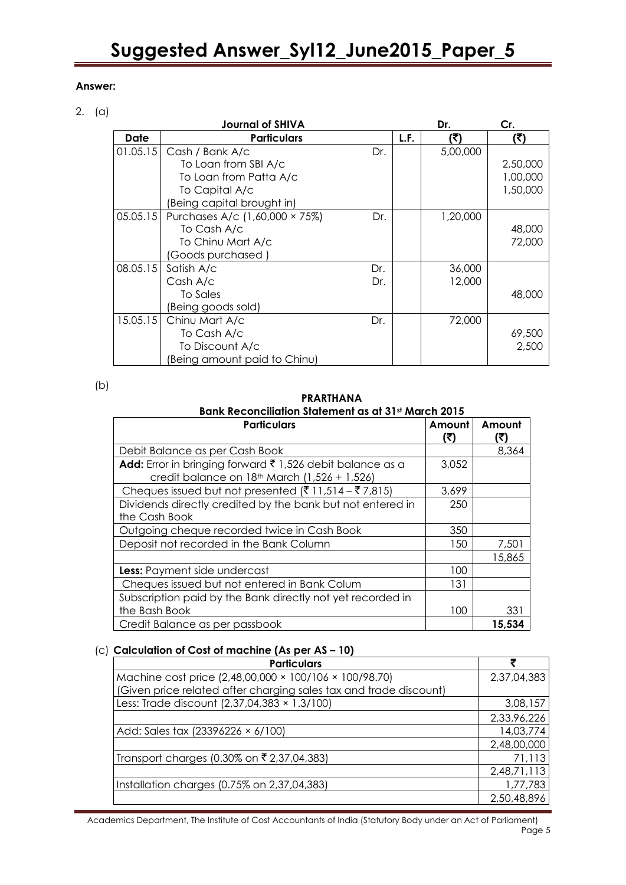#### **Answer:**

#### 2. (a)

|          | <b>Journal of SHIVA</b>        |     |      | Dr.      | Cr.      |
|----------|--------------------------------|-----|------|----------|----------|
| Date     | <b>Particulars</b>             |     | L.F. | (?)      | (₹)      |
| 01.05.15 | Cash / Bank A/c                | Dr. |      | 5,00,000 |          |
|          | To Loan from SBI A/c           |     |      |          | 2,50,000 |
|          | To Loan from Patta A/c         |     |      |          | 1,00,000 |
|          | To Capital A/c                 |     |      |          | 1,50,000 |
|          | (Being capital brought in)     |     |      |          |          |
| 05.05.15 | Purchases A/c (1,60,000 × 75%) | Dr. |      | 1,20,000 |          |
|          | To Cash A/c                    |     |      |          | 48,000   |
|          | To Chinu Mart A/c              |     |      |          | 72,000   |
|          | (Goods purchased )             |     |      |          |          |
| 08.05.15 | Satish A/c                     | Dr. |      | 36,000   |          |
|          | Cash A/c                       | Dr. |      | 12,000   |          |
|          | To Sales                       |     |      |          | 48,000   |
|          | (Being goods sold)             |     |      |          |          |
| 15.05.15 | Chinu Mart A/c                 | Dr. |      | 72,000   |          |
|          | To Cash A/c                    |     |      |          | 69,500   |
|          | To Discount A/c                |     |      |          | 2,500    |
|          | Being amount paid to Chinu)    |     |      |          |          |

(b)

#### **PRARTHANA**

#### **Bank Reconciliation Statement as at 31st March 2015**

| <b>Particulars</b>                                                                                        | Amount<br>اح) | Amount |
|-----------------------------------------------------------------------------------------------------------|---------------|--------|
| Debit Balance as per Cash Book                                                                            |               | 8,364  |
| Add: Error in bringing forward ₹ 1,526 debit balance as a<br>credit balance on 18th March (1,526 + 1,526) | 3,052         |        |
| Cheques issued but not presented (₹ 11,514 – ₹ 7,815)                                                     | 3,699         |        |
| Dividends directly credited by the bank but not entered in<br>the Cash Book                               | 250           |        |
| Outgoing cheque recorded twice in Cash Book                                                               | 350           |        |
| Deposit not recorded in the Bank Column                                                                   | 150           | 7,501  |
|                                                                                                           |               | 15,865 |
| Less: Payment side undercast                                                                              | 100           |        |
| Cheques issued but not entered in Bank Colum                                                              | 131           |        |
| Subscription paid by the Bank directly not yet recorded in<br>the Bash Book                               | 100           | 331    |
| Credit Balance as per passbook                                                                            |               | 15,534 |

#### (c) **Calculation of Cost of machine (As per AS – 10)**

| <b>Particulars</b>                                                |             |
|-------------------------------------------------------------------|-------------|
| Machine cost price (2,48,00,000 × 100/106 × 100/98.70)            | 2,37,04,383 |
| (Given price related after charging sales tax and trade discount) |             |
| Less: Trade discount (2,37,04,383 × 1.3/100)                      | 3,08,157    |
|                                                                   | 2,33,96,226 |
| Add: Sales tax (23396226 $\times$ 6/100)                          | 14,03,774   |
|                                                                   | 2,48,00,000 |
| Transport charges (0.30% on ₹ 2,37,04,383)                        | 71,113      |
|                                                                   | 2,48,71,113 |
| Installation charges (0.75% on 2,37,04,383)                       | 1,77,783    |
|                                                                   | 2,50,48,896 |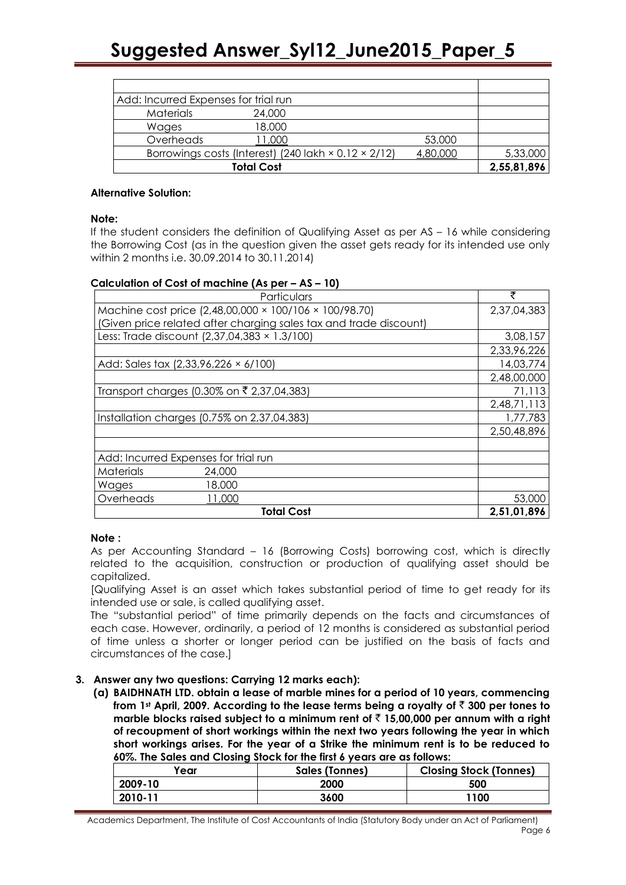| Add: Incurred Expenses for trial run |                                                                    |          |             |
|--------------------------------------|--------------------------------------------------------------------|----------|-------------|
| <b>Materials</b>                     | 24,000                                                             |          |             |
| Wages                                | 18,000                                                             |          |             |
| Overheads                            | 11,000                                                             | 53,000   |             |
|                                      | Borrowings costs (Interest) (240 lakh $\times$ 0.12 $\times$ 2/12) | 4,80,000 | 5,33,000    |
|                                      | <b>Total Cost</b>                                                  |          | 2,55,81,896 |

#### **Alternative Solution:**

#### **Note:**

If the student considers the definition of Qualifying Asset as per AS – 16 while considering the Borrowing Cost (as in the question given the asset gets ready for its intended use only within 2 months i.e. 30.09.2014 to 30.11.2014)

#### **Calculation of Cost of machine (As per – AS – 10)**

| Particulars                                                       | ₹           |  |
|-------------------------------------------------------------------|-------------|--|
| Machine cost price (2,48,00,000 × 100/106 × 100/98.70)            | 2,37,04,383 |  |
| (Given price related after charging sales tax and trade discount) |             |  |
| Less: Trade discount (2,37,04,383 × 1.3/100)                      | 3,08,157    |  |
|                                                                   | 2,33,96,226 |  |
| Add: Sales tax (2,33,96,226 × 6/100)                              | 14,03,774   |  |
|                                                                   | 2,48,00,000 |  |
| Transport charges (0.30% on ₹ 2,37,04,383)                        | 71,113      |  |
|                                                                   | 2,48,71,113 |  |
| Installation charges (0.75% on 2,37,04,383)                       |             |  |
|                                                                   | 2,50,48,896 |  |
|                                                                   |             |  |
| Add: Incurred Expenses for trial run                              |             |  |
| Materials<br>24,000                                               |             |  |
| 18,000<br>Wages                                                   |             |  |
| Overheads<br>11,000                                               | 53,000      |  |
| <b>Total Cost</b>                                                 | 2,51,01,896 |  |

#### **Note :**

As per Accounting Standard – 16 (Borrowing Costs) borrowing cost, which is directly related to the acquisition, construction or production of qualifying asset should be capitalized.

[Qualifying Asset is an asset which takes substantial period of time to get ready for its intended use or sale, is called qualifying asset.

The "substantial period" of time primarily depends on the facts and circumstances of each case. However, ordinarily, a period of 12 months is considered as substantial period of time unless a shorter or longer period can be justified on the basis of facts and circumstances of the case.]

#### **3. Answer any two questions: Carrying 12 marks each):**

**(a) BAIDHNATH LTD. obtain a lease of marble mines for a period of 10 years, commencing from 1st April, 2009. According to the lease terms being a royalty of** ` **300 per tones to marble blocks raised subject to a minimum rent of** ` **15,00,000 per annum with a right of recoupment of short workings within the next two years following the year in which short workings arises. For the year of a Strike the minimum rent is to be reduced to 60%. The Sales and Closing Stock for the first 6 years are as follows:** 

| 'ear    | Sales (Tonnes) | <b>Closing Stock (Tonnes)</b> |
|---------|----------------|-------------------------------|
| 2009-10 | 2000           | 500                           |
| 2010-11 | 3600           | 1100                          |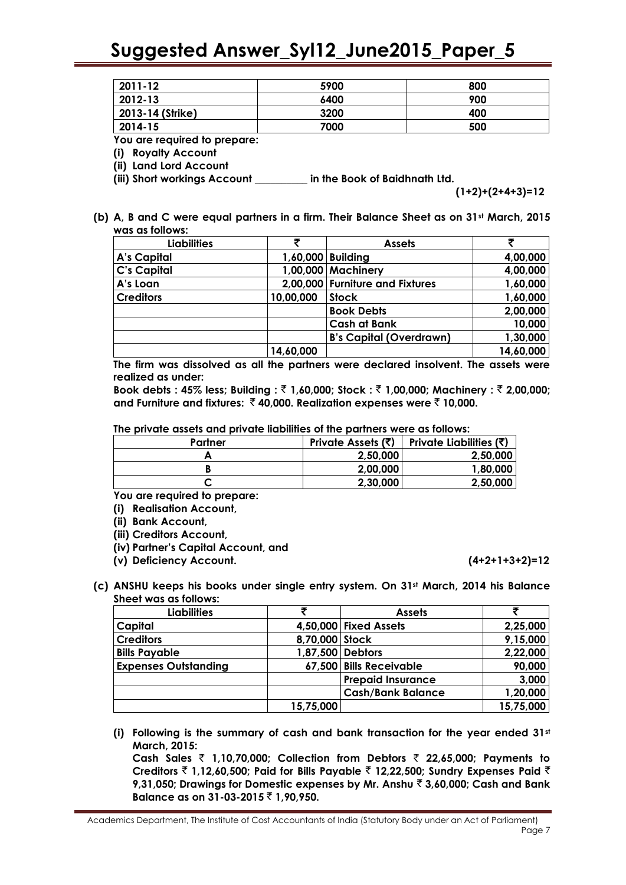| 2011-12          | 5900 | 800 |
|------------------|------|-----|
| 2012-13          | 6400 | 900 |
| 2013-14 (Strike) | 3200 | 400 |
| 2014-15          | 7000 | 500 |

**You are required to prepare:** 

**(i) Royalty Account** 

**(ii) Land Lord Account**

**(iii) Short workings Account \_\_\_\_\_\_\_\_\_\_ in the Book of Baidhnath Ltd.** 

**(1+2)+(2+4+3)=12**

**(b) A, B and C were equal partners in a firm. Their Balance Sheet as on 31st March, 2015 was as follows:** 

| <b>Liabilities</b> |           | <b>Assets</b>                   |           |
|--------------------|-----------|---------------------------------|-----------|
| A's Capital        |           | 1,60,000 Building               | 4,00,000  |
| <b>C's Capital</b> |           | 1,00,000 Machinery              | 4,00,000  |
| A's Loan           |           | 2,00,000 Furniture and Fixtures | 1,60,000  |
| <b>Creditors</b>   | 10,00,000 | <b>Stock</b>                    | 1,60,000  |
|                    |           | <b>Book Debts</b>               | 2,00,000  |
|                    |           | <b>Cash at Bank</b>             | 10,000    |
|                    |           | <b>B's Capital (Overdrawn)</b>  | 1,30,000  |
|                    | 14,60,000 |                                 | 14,60,000 |

**The firm was dissolved as all the partners were declared insolvent. The assets were realized as under:**

**Book debts : 45% less; Building :** ` **1,60,000; Stock :** ` **1,00,000; Machinery :** ` **2,00,000; and Furniture and fixtures:** ` **40,000. Realization expenses were** ` **10,000.**

**The private assets and private liabilities of the partners were as follows:** 

| Partner |          | Private Assets $(\vec{\xi})$   Private Liabilities $(\vec{\xi})$ |
|---------|----------|------------------------------------------------------------------|
|         | 2,50,000 | 2,50,000                                                         |
|         | 2,00,000 | 1.80.000                                                         |
|         | 2,30,000 | 2,50,000                                                         |
|         |          |                                                                  |

**You are required to prepare:** 

**(i) Realisation Account,**

**(ii) Bank Account,** 

**(iii) Creditors Account,**

**(iv) Partner's Capital Account, and** 

**(v) Deficiency Account. (4+2+1+3+2)=12**

**(c) ANSHU keeps his books under single entry system. On 31st March, 2014 his Balance Sheet was as follows:**

| Liabilities                 | ₹              | <b>Assets</b>            |           |
|-----------------------------|----------------|--------------------------|-----------|
| Capital                     |                | 4,50,000 Fixed Assets    | 2,25,000  |
| <b>Creditors</b>            | 8,70,000 Stock |                          | 9,15,000  |
| <b>Bills Payable</b>        |                | 1,87,500 Debtors         | 2,22,000  |
| <b>Expenses Outstanding</b> |                | 67,500 Bills Receivable  | 90,000    |
|                             |                | <b>Prepaid Insurance</b> | 3,000     |
|                             |                | <b>Cash/Bank Balance</b> | 1,20,000  |
|                             | 15,75,000      |                          | 15,75,000 |

**(i) Following is the summary of cash and bank transaction for the year ended 31st March, 2015:**

**Cash Sales** ` **1,10,70,000; Collection from Debtors** ` **22,65,000; Payments to Creditors** ` **1,12,60,500; Paid for Bills Payable** ` **12,22,500; Sundry Expenses Paid** ` **9,31,050; Drawings for Domestic expenses by Mr. Anshu** ` **3,60,000; Cash and Bank Balance as on 31-03-2015** ` **1,90,950.**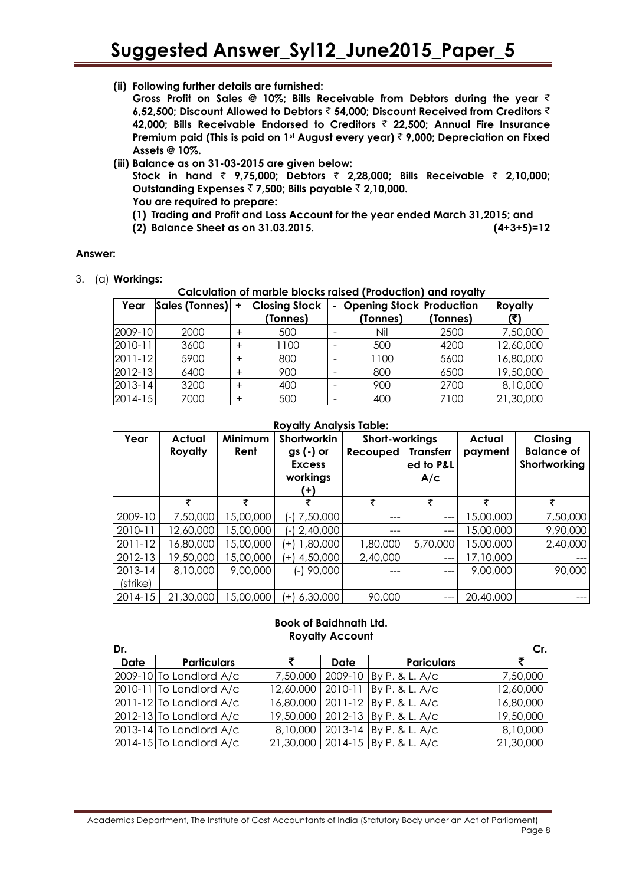**(ii) Following further details are furnished:**

**Gross Profit on Sales @ 10%; Bills Receivable from Debtors during the year** ` **6,52,500; Discount Allowed to Debtors** ` **54,000; Discount Received from Creditors** ` **42,000; Bills Receivable Endorsed to Creditors** ` **22,500; Annual Fire Insurance Premium paid (This is paid on 1st August every year)** ` **9,000; Depreciation on Fixed Assets @ 10%.**

**(iii) Balance as on 31-03-2015 are given below:** 

**Stock in hand** ` **9,75,000; Debtors** ` **2,28,000; Bills Receivable** ` **2,10,000; Outstanding Expenses** ` **7,500; Bills payable** ` **2,10,000. You are required to prepare:** 

- **(1) Trading and Profit and Loss Account for the year ended March 31,2015; and**
- **(2) Balance Sheet as on 31.03.2015. (4+3+5)=12**

#### **Answer:**

3. (a) **Workings:** 

#### **Calculation of marble blocks raised (Production) and royalty**

| Year        | Sales (Tonnes) | $\ddot{}$ | <b>Closing Stock</b><br>(Tonnes) |   | <b>Opening Stock Production</b><br>(Tonnes) | (Tonnes) | Royalty   |
|-------------|----------------|-----------|----------------------------------|---|---------------------------------------------|----------|-----------|
| 2009-10     | 2000           |           | 500                              |   | Nil                                         | 2500     | 7,50,000  |
| 2010-11     | 3600           | $\pm$     | 1100                             |   | 500                                         | 4200     | 12,60,000 |
| $2011 - 12$ | 5900           | $\,{}^+$  | 800                              |   | 1100                                        | 5600     | 16,80,000 |
| $2012 - 13$ | 6400           |           | 900                              |   | 800                                         | 6500     | 19,50,000 |
| 2013-14     | 3200           | $\pm$     | 400                              | - | 900                                         | 2700     | 8,10,000  |
| $2014 - 15$ | 7000           | $\ddot{}$ | 500                              | - | 400                                         | 7100     | 21,30,000 |

#### **Royalty Analysis Table:**

| Year        | Actual         | Minimum   | Shortworkin                                    |          | Short-workings                       |           | Closing                           |
|-------------|----------------|-----------|------------------------------------------------|----------|--------------------------------------|-----------|-----------------------------------|
|             | <b>Royalty</b> | Rent      | $gs(-)$ or<br><b>Excess</b><br>workings<br>(4) | Recouped | <b>Transferr</b><br>ed to P&L<br>A/c | payment   | <b>Balance of</b><br>Shortworking |
|             | ₹              | ₹         | ₹                                              | ₹        | ₹                                    | ₹         | ₹                                 |
| 2009-10     | 7,50,000       | 15,00,000 | 7,50,000<br>( – )                              | ---      | $---$                                | 15,00,000 | 7,50,000                          |
| 2010-11     | 12,60,000      | 15,00,000 | $(-)$ 2,40,000                                 | ---      | ---                                  | 15,00,000 | 9,90,000                          |
| $2011 - 12$ | 16,80,000      | 5,00,000  | 1,80,000<br>$(+)$                              | 1,80,000 | 5,70,000                             | 15,00,000 | 2,40,000                          |
| 2012-13     | 19,50,000      | 15,00,000 | 4,50,000<br>$^{+}$                             | 2,40,000 | ---                                  | 17,10,000 |                                   |
| $2013 - 14$ | 8,10,000       | 9,00,000  | $(-)$ 90,000                                   | ---      | $---$                                | 9,00,000  | 90,000                            |
| (strike)    |                |           |                                                |          |                                      |           |                                   |
| 2014-15     | 21,30,000      | 5,00,000  | 6,30,000<br>(+                                 | 90,000   | ---                                  | 20,40,000 | ---                               |

#### **Book of Baidhnath Ltd. Royalty Account**

| Dr.         |                                                   |   |      |                                      | Cr.       |
|-------------|---------------------------------------------------|---|------|--------------------------------------|-----------|
| <b>Date</b> | <b>Particulars</b>                                | ₹ | Date | <b>Pariculars</b>                    | ₹         |
|             | 2009-10 To Landlord A/c                           |   |      | 7,50,000   2009-10   By P. & L. A/c  | 7,50,000  |
|             | $2010-11$ To Landlord A/c                         |   |      | 12,60,000   2010-11   By P. & L. A/c | 12,60,000 |
|             | $2011-12$ To Landlord A/c                         |   |      | 16,80,000   2011-12   By P. & L. A/c | 16,80,000 |
|             | $2012 - 13$ To Landlord A/c                       |   |      | 19,50,000   2012-13   By P. & L. A/c | 19,50,000 |
|             | $\left  2013 \text{-} 14 \right $ To Landlord A/c |   |      | 8,10,000   2013-14   By P. & L. A/c  | 8,10,000  |
|             | $2014-15$ To Landlord A/c                         |   |      | 21,30,000   2014-15   By P. & L. A/c | 21,30,000 |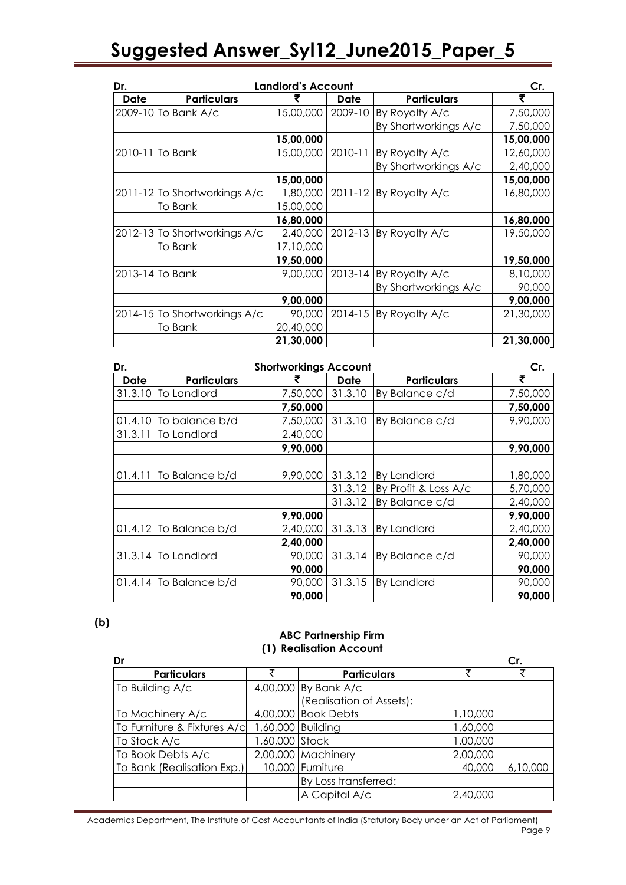| Dr.         | <b>Landlord's Account</b>    |           |             |                        |           |  |
|-------------|------------------------------|-----------|-------------|------------------------|-----------|--|
| <b>Date</b> | <b>Particulars</b>           | ₹         | <b>Date</b> | <b>Particulars</b>     | ₹         |  |
|             | 2009-10 To Bank A/c          | 15,00,000 | 2009-10     | By Royalty A/c         | 7,50,000  |  |
|             |                              |           |             | By Shortworkings A/c   | 7,50,000  |  |
|             |                              | 15,00,000 |             |                        | 15,00,000 |  |
| 2010-11     | To Bank                      | 15,00,000 | 2010-11     | By Royalty A/c         | 12,60,000 |  |
|             |                              |           |             | By Shortworkings A/c   | 2,40,000  |  |
|             |                              | 15,00,000 |             |                        | 15,00,000 |  |
|             | 2011-12 To Shortworkings A/c | 1,80,000  | $2011 - 12$ | By Royalty A/c         | 16,80,000 |  |
|             | To Bank                      | 15,00,000 |             |                        |           |  |
|             |                              | 16,80,000 |             |                        | 16,80,000 |  |
|             | 2012-13 To Shortworkings A/c | 2,40,000  |             | 2012-13 By Royalty A/c | 19,50,000 |  |
|             | To Bank                      | 17,10,000 |             |                        |           |  |
|             |                              | 19,50,000 |             |                        | 19,50,000 |  |
|             | 2013-14 To Bank              | 9,00,000  | 2013-14     | By Royalty A/c         | 8,10,000  |  |
|             |                              |           |             | By Shortworkings A/c   | 90,000    |  |
|             |                              | 9,00,000  |             |                        | 9,00,000  |  |
|             | 2014-15 To Shortworkings A/c | 90,000    |             | 2014-15 By Royalty A/c | 21,30,000 |  |
|             | <b>To Bank</b>               | 20,40,000 |             |                        |           |  |
|             |                              | 21,30,000 |             |                        | 21,30,000 |  |

| Dr.     | <b>Shortworkings Account</b> |          |         |                      |          |
|---------|------------------------------|----------|---------|----------------------|----------|
| Date    | <b>Particulars</b>           |          | Date    | <b>Particulars</b>   | ₹        |
| 31.3.10 | To Landlord                  | 7,50,000 | 31.3.10 | By Balance c/d       | 7,50,000 |
|         |                              | 7,50,000 |         |                      | 7,50,000 |
| 01.4.10 | To balance b/d               | 7,50,000 | 31.3.10 | By Balance c/d       | 9,90,000 |
| 31.3.11 | To Landlord                  | 2,40,000 |         |                      |          |
|         |                              | 9,90,000 |         |                      | 9,90,000 |
|         |                              |          |         |                      |          |
| 01.4.11 | To Balance b/d               | 9,90,000 | 31.3.12 | <b>By Landlord</b>   | 1,80,000 |
|         |                              |          | 31.3.12 | By Profit & Loss A/c | 5,70,000 |
|         |                              |          | 31.3.12 | By Balance c/d       | 2,40,000 |
|         |                              | 9,90,000 |         |                      | 9,90,000 |
| 01.4.12 | To Balance b/d               | 2,40,000 | 31.3.13 | <b>By Landlord</b>   | 2,40,000 |
|         |                              | 2,40,000 |         |                      | 2,40,000 |
| 31.3.14 | To Landlord                  | 90,000   | 31.3.14 | By Balance c/d       | 90,000   |
|         |                              | 90,000   |         |                      | 90,000   |
|         | $01.4.14$ To Balance b/d     | 90,000   | 31.3.15 | <b>By Landlord</b>   | 90,000   |
|         |                              | 90,000   |         |                      | 90,000   |

#### **(b)**

#### **ABC Partnership Firm (1) Realisation Account**

| Dr                          |                |                          |          | Cr.      |
|-----------------------------|----------------|--------------------------|----------|----------|
| <b>Particulars</b>          | チ              | <b>Particulars</b>       | ₹        | ₹        |
| To Building A/c             |                | 4,00,000 By Bank A/c     |          |          |
|                             |                | (Realisation of Assets): |          |          |
| To Machinery A/c            |                | 4,00,000 Book Debts      | 1,10,000 |          |
| To Furniture & Fixtures A/c |                | 1,60,000 Building        | 1,60,000 |          |
| To Stock A/c                | 1,60,000 Stock |                          | 1,00,000 |          |
| To Book Debts A/c           |                | 2,00,000 Machinery       | 2,00,000 |          |
| To Bank (Realisation Exp.)  |                | 10,000 Furniture         | 40,000   | 6,10,000 |
|                             |                | By Loss transferred:     |          |          |
|                             |                | A Capital A/c            | 2,40,000 |          |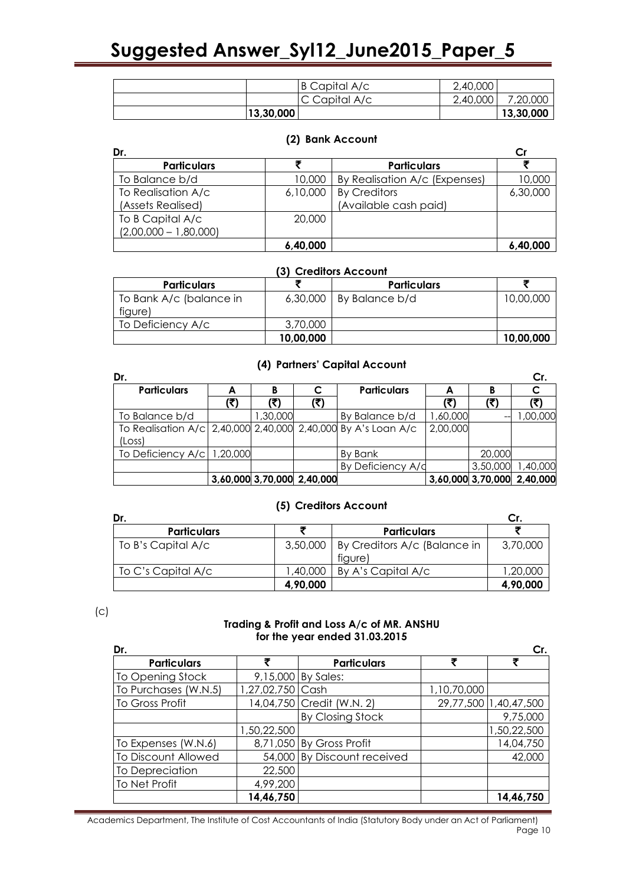|           | B Capital A/c | 2,40,000 |           |
|-----------|---------------|----------|-----------|
|           | C Capital A/c | 2,40,000 | 7,20,000  |
| 13,30,000 |               |          | 13,30,000 |

#### **(2) Bank Account**

| Dr.                     |          |                               |          |
|-------------------------|----------|-------------------------------|----------|
| <b>Particulars</b>      |          | <b>Particulars</b>            |          |
| To Balance b/d          | 10,000   | By Realisation A/c (Expenses) | 10,000   |
| To Realisation A/c      | 6,10,000 | <b>By Creditors</b>           | 6,30,000 |
| (Assets Realised)       |          | (Available cash paid)         |          |
| To B Capital A/c        | 20,000   |                               |          |
| $(2,00,000 - 1,80,000)$ |          |                               |          |
|                         | 6,40,000 |                               | 6,40,000 |

#### **(3) Creditors Account**

| <b>Particulars</b>      |           | <b>Particulars</b>        |           |
|-------------------------|-----------|---------------------------|-----------|
| To Bank A/c (balance in |           | $6,30,000$ By Balance b/d | 10,00,000 |
| figure)                 |           |                           |           |
| To Deficiency A/c       | 3,70,000  |                           |           |
|                         | 10,00,000 |                           | 10,00,000 |

#### **(4) Partners' Capital Account**

| Dr.                                                           |     |         |                            |                    |          |          | Cr.                        |
|---------------------------------------------------------------|-----|---------|----------------------------|--------------------|----------|----------|----------------------------|
| <b>Particulars</b>                                            | А   | в       | C                          | <b>Particulars</b> | А        | B        |                            |
|                                                               | (₹) | (₹)     | (₹)                        |                    | (₹)      | (₹)      |                            |
| To Balance b/d                                                |     | ,30,000 |                            | By Balance b/d     | 1,60,000 |          | 00,000,1                   |
| To Realisation A/c 2,40,000 2,40,000 2,40,000 By A's Loan A/c |     |         |                            |                    | 2,00,000 |          |                            |
| (Loss)                                                        |     |         |                            |                    |          |          |                            |
| To Deficiency $A/c$ 1,20,000                                  |     |         |                            | By Bank            |          | 20,000   |                            |
|                                                               |     |         |                            | By Deficiency A/d  |          | 3,50,000 | 1,40,000                   |
|                                                               |     |         | 3,60,000 3,70,000 2,40,000 |                    |          |          | 3,60,000 3,70,000 2,40,000 |

#### **(5) Creditors Account**

| Dr.                |          |                                         |          |
|--------------------|----------|-----------------------------------------|----------|
| <b>Particulars</b> |          | <b>Particulars</b>                      |          |
| To B's Capital A/c | 3,50,000 | By Creditors A/c (Balance in<br>figure) | 3,70,000 |
| To C's Capital A/c | 1,40,000 | By A's Capital A/c                      | 1,20,000 |
|                    | 4,90,000 |                                         | 4,90,000 |

(c)

#### **Trading & Profit and Loss A/c of MR. ANSHU for the year ended 31.03.2015**

| Dr.                  |                  |                             |             | Cr.                   |
|----------------------|------------------|-----------------------------|-------------|-----------------------|
| <b>Particulars</b>   | ₹                | <b>Particulars</b>          | ₹           |                       |
| To Opening Stock     |                  | 9,15,000 By Sales:          |             |                       |
| To Purchases (W.N.5) | 1,27,02,750 Cash |                             | 1,10,70,000 |                       |
| To Gross Profit      |                  | 14,04,750 Credit (W.N. 2)   |             | 29,77,500 1,40,47,500 |
|                      |                  | By Closing Stock            |             | 9,75,000              |
|                      | 1,50,22,500      |                             |             | 1,50,22,500           |
| To Expenses (W.N.6)  |                  | 8,71,050 By Gross Profit    |             | 14,04,750             |
| To Discount Allowed  |                  | 54,000 By Discount received |             | 42,000                |
| To Depreciation      | 22,500           |                             |             |                       |
| To Net Profit        | 4,99,200         |                             |             |                       |
|                      | 14,46,750        |                             |             | 14.46.750             |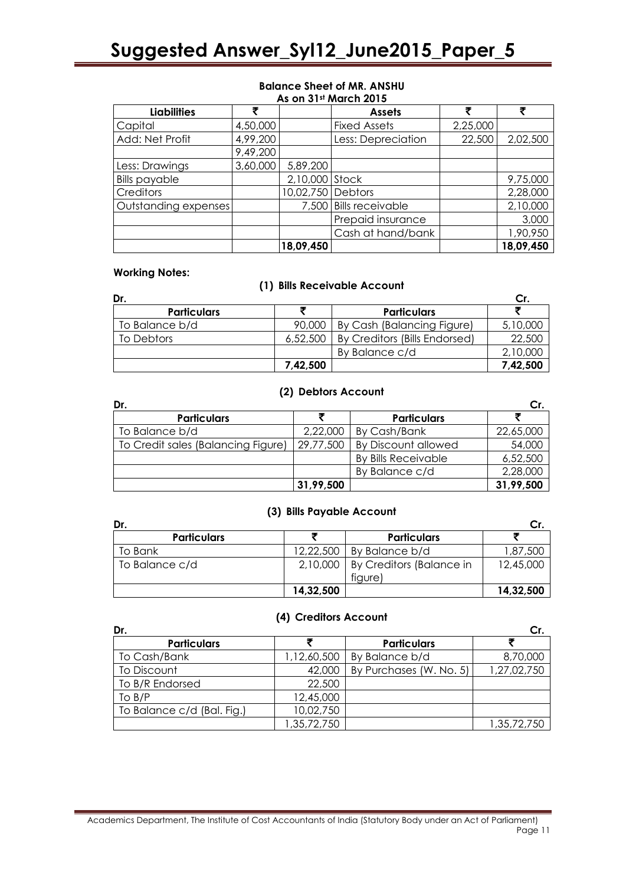#### **Balance Sheet of MR. ANSHU As on 31st March 2015**

| <b>Liabilities</b>   |          |                   | <b>Assets</b>          |          |           |
|----------------------|----------|-------------------|------------------------|----------|-----------|
| Capital              | 4,50,000 |                   | <b>Fixed Assets</b>    | 2,25,000 |           |
| Add: Net Profit      | 4,99,200 |                   | Less: Depreciation     | 22,500   | 2,02,500  |
|                      | 9,49,200 |                   |                        |          |           |
| Less: Drawings       | 3,60,000 | 5,89,200          |                        |          |           |
| <b>Bills payable</b> |          | 2,10,000 Stock    |                        |          | 9,75,000  |
| Creditors            |          | 10,02,750 Debtors |                        |          | 2,28,000  |
| Outstanding expenses |          |                   | 7,500 Bills receivable |          | 2,10,000  |
|                      |          |                   | Prepaid insurance      |          | 3,000     |
|                      |          |                   | Cash at hand/bank      |          | 1,90,950  |
|                      |          | 18,09,450         |                        |          | 18,09,450 |

#### **Working Notes:**

#### **(1) Bills Receivable Account**

| Dr.                |          |                               | Cr.      |
|--------------------|----------|-------------------------------|----------|
| <b>Particulars</b> |          | <b>Particulars</b>            |          |
| To Balance b/d     | 90,000   | By Cash (Balancing Figure)    | 5,10,000 |
| To Debtors         | 6,52,500 | By Creditors (Bills Endorsed) | 22,500   |
|                    |          | By Balance c/d                | 2,10,000 |
|                    | 7,42,500 |                               | 7,42,500 |

#### **(2) Debtors Account**

| Dr.                                |           |                            | Cr.       |
|------------------------------------|-----------|----------------------------|-----------|
| <b>Particulars</b>                 |           | <b>Particulars</b>         |           |
| To Balance b/d                     | 2,22,000  | By Cash/Bank               | 22,65,000 |
| To Credit sales (Balancing Figure) | 29,77,500 | <b>By Discount allowed</b> | 54,000    |
|                                    |           | <b>By Bills Receivable</b> | 6,52,500  |
|                                    |           | By Balance c/d             | 2,28,000  |
|                                    | 31,99,500 |                            | 31,99,500 |

#### **(3) Bills Payable Account**

| Dr.                |           |                                     | Cr.       |
|--------------------|-----------|-------------------------------------|-----------|
| <b>Particulars</b> |           | <b>Particulars</b>                  |           |
| To Bank            | 12,22,500 | By Balance b/d                      | 1,87,500  |
| To Balance c/d     | 2,10,000  | By Creditors (Balance in<br>figure) | 12,45,000 |
|                    | 14,32,500 |                                     | 14,32,500 |

#### **(4) Creditors Account**

| Dr.                        |             |                         | Cr.         |
|----------------------------|-------------|-------------------------|-------------|
| <b>Particulars</b>         |             | <b>Particulars</b>      |             |
| To Cash/Bank               | 1,12,60,500 | By Balance b/d          | 8,70,000    |
| To Discount                | 42,000      | By Purchases (W. No. 5) | 1,27,02,750 |
| To B/R Endorsed            | 22,500      |                         |             |
| To $B/P$                   | 12,45,000   |                         |             |
| To Balance c/d (Bal. Fig.) | 10,02,750   |                         |             |
|                            | 1,35,72,750 |                         | 1,35,72,750 |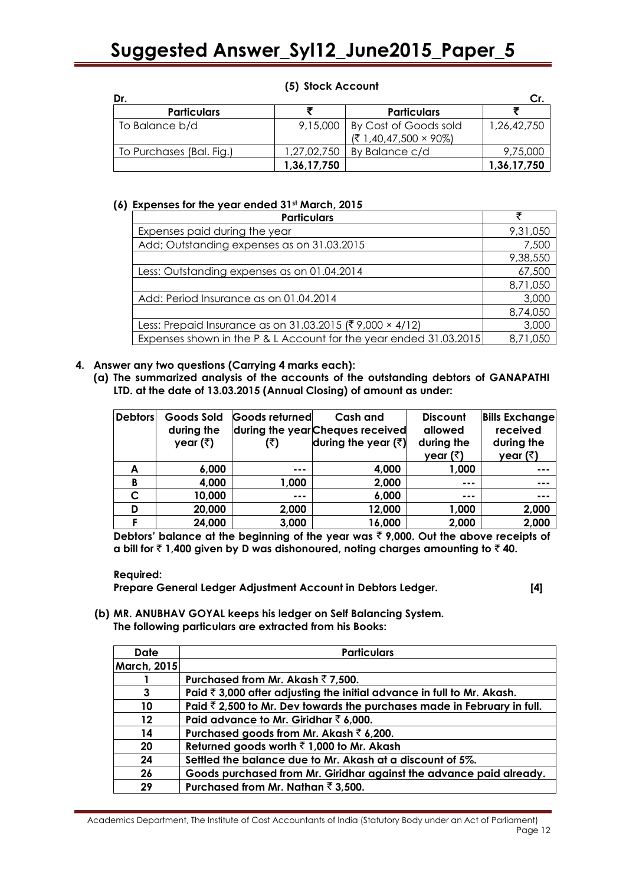#### **(5) Stock Account**

| Dr.                      |             |                                                       |             |
|--------------------------|-------------|-------------------------------------------------------|-------------|
| <b>Particulars</b>       |             | <b>Particulars</b>                                    |             |
| To Balance b/d           | 9,15,000    | By Cost of Goods sold<br>$(71,40,47,500 \times 90\%)$ | 1,26,42,750 |
| To Purchases (Bal. Fig.) | 1,27,02,750 | By Balance c/d                                        | 9,75,000    |
|                          | 1,36,17,750 |                                                       | 1,36,17,750 |

#### **(6) Expenses for the year ended 31st March, 2015**

| <b>Particulars</b>                                                | ₹        |
|-------------------------------------------------------------------|----------|
| Expenses paid during the year                                     | 9,31,050 |
| Add; Outstanding expenses as on 31.03.2015                        | 7,500    |
|                                                                   | 9,38,550 |
| Less: Outstanding expenses as on 01.04.2014                       | 67,500   |
|                                                                   | 8,71,050 |
| Add: Period Insurance as on 01.04.2014                            | 3,000    |
|                                                                   | 8,74,050 |
| Less: Prepaid Insurance as on 31.03.2015 (₹9,000 × 4/12)          | 3,000    |
| Expenses shown in the P & L Account for the year ended 31.03.2015 | 8,71,050 |

#### **4. Answer any two questions (Carrying 4 marks each):**

**(a) The summarized analysis of the accounts of the outstanding debtors of GANAPATHI LTD. at the date of 13.03.2015 (Annual Closing) of amount as under:** 

| <b>Debtors</b> | Goods Sold         | Goods returned | Cash and                         | <b>Discount</b>  | <b>Bills Exchange</b> |
|----------------|--------------------|----------------|----------------------------------|------------------|-----------------------|
|                | during the         |                | during the year Cheques received | allowed          | received              |
|                | year ( $\bar{z}$ ) | (₹)            | during the year $(\bar{z})$      | during the       | during the            |
|                |                    |                |                                  | year $(\bar{z})$ | year ( $\bar{z}$ )    |
| A              | 6,000              | $- - -$        | 4,000                            | 1,000            | ---                   |
| B              | 4,000              | 1,000          | 2,000                            | ---              | ---                   |
| C              | 10,000             | ---            | 6,000                            | ---              | ---                   |
| D              | 20,000             | 2,000          | 12,000                           | 1,000            | 2,000                 |
|                | 24,000             | 3,000          | 16,000                           | 2,000            | 2,000                 |

Debtors' balance at the beginning of the year was  $\bar{\tau}$  9,000. Out the above receipts of **a** bill for  $\bar{z}$  1,400 given by D was dishonoured, noting charges amounting to  $\bar{z}$  40.

**Required:** 

**Prepare General Ledger Adjustment Account in Debtors Ledger. [4]**

**(b) MR. ANUBHAV GOYAL keeps his ledger on Self Balancing System. The following particulars are extracted from his Books:** 

| <b>Date</b>        | <b>Particulars</b>                                                                |
|--------------------|-----------------------------------------------------------------------------------|
| <b>March, 2015</b> |                                                                                   |
|                    | Purchased from Mr. Akash $\bar{z}$ 7,500.                                         |
| 3                  | Paid $\bar{\tau}$ 3,000 after adjusting the initial advance in full to Mr. Akash. |
| 10                 | Paid $\bar{z}$ 2,500 to Mr. Dev towards the purchases made in February in full.   |
| $12 \,$            | Paid advance to Mr. Giridhar $\bar{z}$ 6,000.                                     |
| 14                 | Purchased goods from Mr. Akash $\bar{z}$ 6,200.                                   |
| 20                 | Returned goods worth $\bar{z}$ 1,000 to Mr. Akash                                 |
| 24                 | Settled the balance due to Mr. Akash at a discount of 5%.                         |
| 26                 | Goods purchased from Mr. Giridhar against the advance paid already.               |
| 29                 | Purchased from Mr. Nathan $\bar{z}$ 3,500.                                        |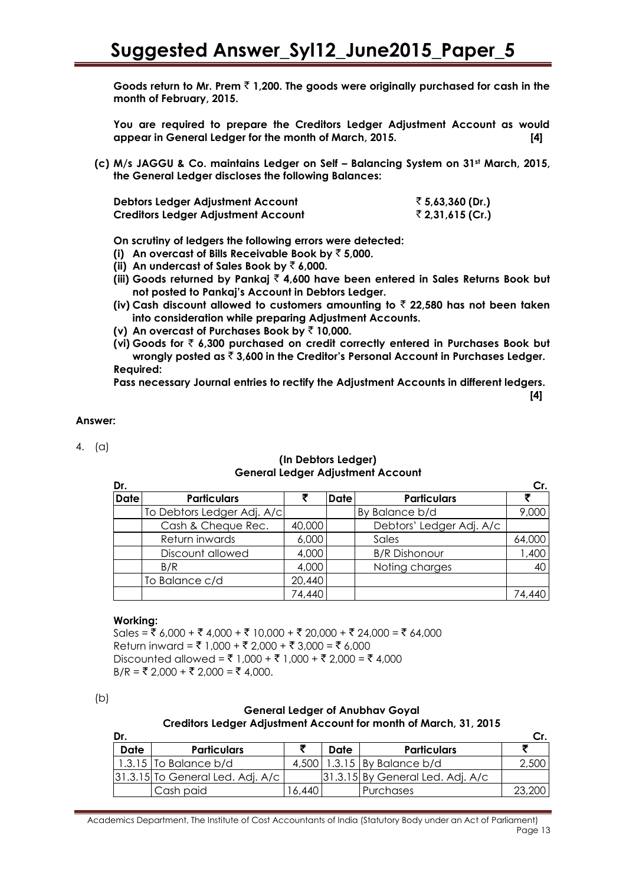**Goods return to Mr. Prem** ` **1,200. The goods were originally purchased for cash in the month of February, 2015.**

**You are required to prepare the Creditors Ledger Adjustment Account as would appear in General Ledger for the month of March, 2015. [4]**

**(c) M/s JAGGU & Co. maintains Ledger on Self – Balancing System on 31st March, 2015, the General Ledger discloses the following Balances:** 

| Debtors Ledger Adjustment Account          | ₹ 5,63,360 (Dr.) |
|--------------------------------------------|------------------|
| <b>Creditors Ledger Adjustment Account</b> | ₹ 2,31,615 (Cr.) |

**On scrutiny of ledgers the following errors were detected:** 

- **(i) An overcast of Bills Receivable Book by** ` **5,000.**
- **(ii)** An undercast of Sales Book by  $\bar{e}$  6,000.
- **(iii) Goods returned by Pankaj** ` **4,600 have been entered in Sales Returns Book but not posted to Pankaj's Account in Debtors Ledger.**
- **(iv) Cash discount allowed to customers amounting to** ` **22,580 has not been taken into consideration while preparing Adjustment Accounts.**
- **(v) An overcast of Purchases Book by** ` **10,000.**
- **(vi) Goods for** ` **6,300 purchased on credit correctly entered in Purchases Book but wrongly posted as** ` **3,600 in the Creditor's Personal Account in Purchases Ledger. Required:**

**Pass necessary Journal entries to rectify the Adjustment Accounts in different ledgers.**

**[4]**

#### **Answer:**

4. (a)

#### **(In Debtors Ledger) General Ledger Adjustment Account**

| Dr.         |                            |        |             |                          | Cr.    |
|-------------|----------------------------|--------|-------------|--------------------------|--------|
| <b>Date</b> | <b>Particulars</b>         |        | <b>Date</b> | <b>Particulars</b>       |        |
|             | To Debtors Ledger Adj. A/c |        |             | By Balance b/d           | 9,000  |
|             | Cash & Cheque Rec.         | 40,000 |             | Debtors' Ledger Adj. A/c |        |
|             | Return inwards             | 6,000  |             | Sales                    | 64,000 |
|             | Discount allowed           | 4,000  |             | <b>B/R Dishonour</b>     | 1,400  |
|             | B/R                        | 4,000  |             | Noting charges           | 40     |
|             | To Balance c/d             | 20,440 |             |                          |        |
|             |                            | 74,440 |             |                          | 74,440 |

#### **Working:**

Sales =  $\overline{\xi}$  6,000 +  $\overline{\xi}$  4,000 +  $\overline{\xi}$  10,000 +  $\overline{\xi}$  20,000 +  $\overline{\xi}$  24,000 =  $\overline{\xi}$  64,000 Return inward = ₹ 1,000 + ₹ 2,000 + ₹ 3,000 = ₹ 6,000 Discounted allowed = ₹ 1,000 + ₹ 1,000 + ₹ 2,000 = ₹ 4,000  $B/R = ₹ 2,000 + ₹ 2,000 = ₹ 4,000.$ 

#### **General Ledger of Anubhav Goyal Creditors Ledger Adjustment Account for month of March, 31, 2015**

| Dr.  |                                      |       |      |                                      |        |
|------|--------------------------------------|-------|------|--------------------------------------|--------|
| Date | <b>Particulars</b>                   |       | Date | <b>Particulars</b>                   |        |
|      | $1.3.15$ To Balance b/d              | 4.500 |      | $1.3.15$ By Balance b/d              | 2,500  |
|      | $ 31.3.15 $ To General Led. Adj. A/c |       |      | $ 31.3.15 $ By General Led. Adj. A/c |        |
|      | Cash paid                            | 6.440 |      | Purchases                            | 23,200 |

 $(b)$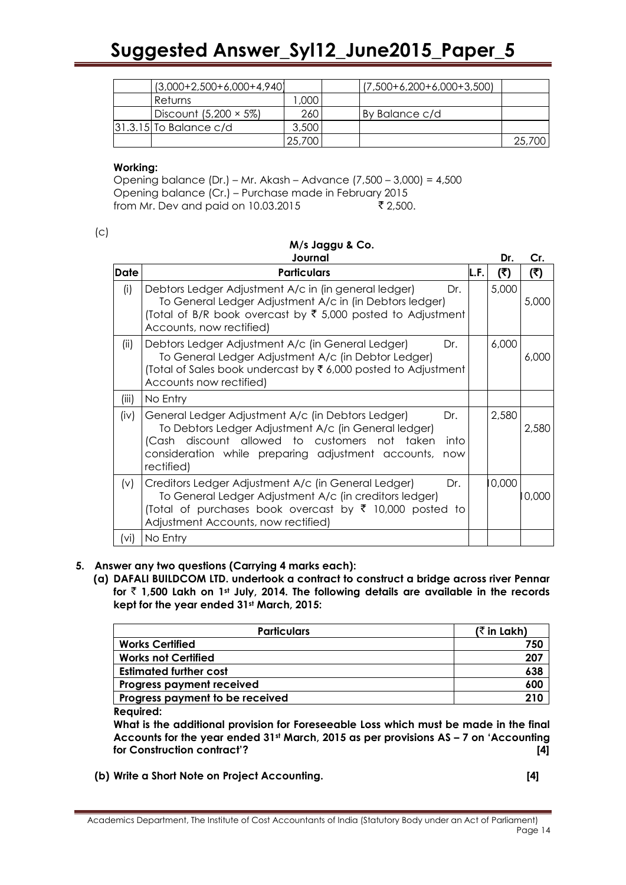| $(3,000+2,500+6,000+4,940)$   |        | $(7,500+6,200+6,000+3,500)$ |        |
|-------------------------------|--------|-----------------------------|--------|
| Returns                       | ,000   |                             |        |
| Discount $(5,200 \times 5\%)$ | 260    | l By Balance c/d            |        |
| $ 31.3.15 $ To Balance c/d    | 3,500  |                             |        |
|                               | 25,700 |                             | 25,700 |

#### **Working:**

Opening balance (Dr.) – Mr. Akash – Advance (7,500 – 3,000) = 4,500 Opening balance (Cr.) – Purchase made in February 2015 from Mr. Dev and paid on 10.03.2015  $\frac{1}{2}$  2,500.

 $(c)$ 

|             | Journal                                                                                                                                                                                                                                              |      | Dr.   | Cr.   |
|-------------|------------------------------------------------------------------------------------------------------------------------------------------------------------------------------------------------------------------------------------------------------|------|-------|-------|
| <b>Date</b> | <b>Particulars</b>                                                                                                                                                                                                                                   | L.F. | (5)   | (₹)   |
| (i)         | Debtors Ledger Adjustment A/c in (in general ledger)<br>Dr.<br>To General Ledger Adjustment A/c in (in Debtors ledger)<br>(Total of B/R book overcast by ₹ 5,000 posted to Adjustment<br>Accounts, now rectified)                                    |      | 5,000 | 5,000 |
| (ii)        | Debtors Ledger Adjustment A/c (in General Ledger)<br>Dr.<br>To General Ledger Adjustment A/c (in Debtor Ledger)<br>(Total of Sales book undercast by ₹6,000 posted to Adjustment<br>Accounts now rectified)                                          |      | 6,000 | 6,000 |
| (iii)       | No Entry                                                                                                                                                                                                                                             |      |       |       |
| (iv)        | General Ledger Adjustment A/c (in Debtors Ledger)<br>Dr.<br>To Debtors Ledger Adjustment A/c (in General ledger)<br>(Cash discount allowed to customers not taken<br>into<br>consideration while preparing adjustment accounts,<br>now<br>rectified) |      | 2,580 | 2,580 |
| (v)         | Creditors Ledger Adjustment A/c (in General Ledger)<br>Dr.<br>To General Ledger Adjustment A/c (in creditors ledger)<br>(Total of purchases book overcast by ₹ 10,000 posted to<br>Adjustment Accounts, now rectified)                               |      | 0,000 | 0,000 |
| (vi)        | No Entry                                                                                                                                                                                                                                             |      |       |       |

#### **5. Answer any two questions (Carrying 4 marks each):**

**(a) DAFALI BUILDCOM LTD. undertook a contract to construct a bridge across river Pennar for** ` **1,500 Lakh on 1st July, 2014. The following details are available in the records kept for the year ended 31st March, 2015:**

| <b>Particulars</b>               | ( $\bar{\tau}$ in Lakh) |
|----------------------------------|-------------------------|
| <b>Works Certified</b>           | 750                     |
| <b>Works not Certified</b>       | 207                     |
| <b>Estimated further cost</b>    | 638                     |
| <b>Progress payment received</b> | 600                     |
| Progress payment to be received  | 210                     |

**Required:** 

**What is the additional provision for Foreseeable Loss which must be made in the final Accounts for the year ended 31st March, 2015 as per provisions AS – 7 on 'Accounting for Construction contract'? [4]**

**(b) Write a Short Note on Project Accounting. [4]**

# **M/s Jaggu & Co.**

Academics Department, The Institute of Cost Accountants of India (Statutory Body under an Act of Parliament) Page 14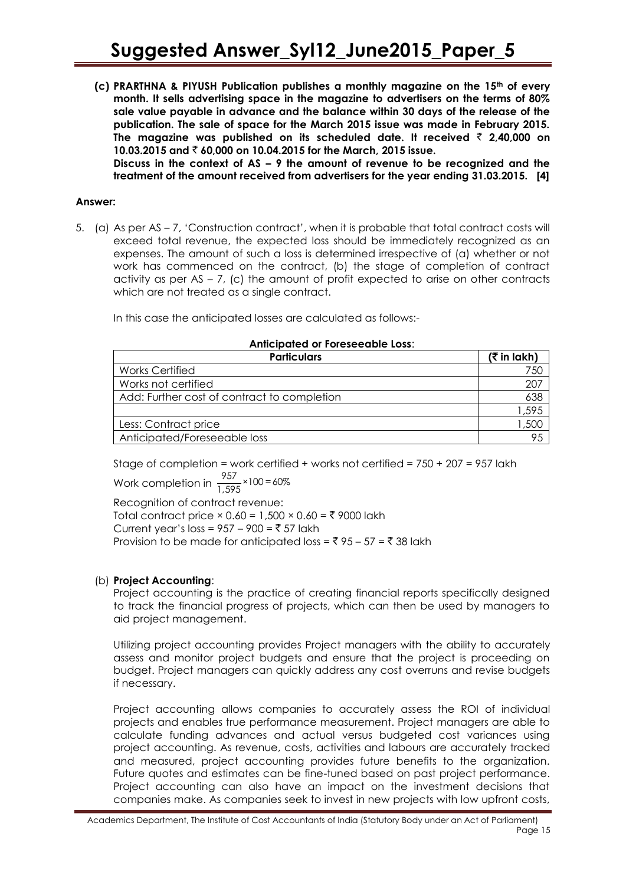**(c) PRARTHNA & PIYUSH Publication publishes a monthly magazine on the 15th of every month. It sells advertising space in the magazine to advertisers on the terms of 80% sale value payable in advance and the balance within 30 days of the release of the publication. The sale of space for the March 2015 issue was made in February 2015.**  The magazine was published on its scheduled date. It received  $\bar{\tau}$  2,40,000 on **10.03.2015 and** ` **60,000 on 10.04.2015 for the March, 2015 issue.**

**Discuss in the context of AS – 9 the amount of revenue to be recognized and the treatment of the amount received from advertisers for the year ending 31.03.2015. [4]**

#### **Answer:**

5. (a) As per AS – 7, "Construction contract", when it is probable that total contract costs will exceed total revenue, the expected loss should be immediately recognized as an expenses. The amount of such a loss is determined irrespective of (a) whether or not work has commenced on the contract, (b) the stage of completion of contract activity as per AS – 7, (c) the amount of profit expected to arise on other contracts which are not treated as a single contract.

In this case the anticipated losses are calculated as follows:-

#### **Anticipated or Foreseeable Loss**:

| <b>Particulars</b>                          | $($ ₹ in lakh) |
|---------------------------------------------|----------------|
| <b>Works Certified</b>                      | 750            |
| Works not certified                         | 207            |
| Add: Further cost of contract to completion | 638            |
|                                             | 1,595          |
| Less: Contract price                        | 500, ا         |
| Anticipated/Foreseeable loss                | 95             |

Stage of completion = work certified + works not certified =  $750 + 207 = 957$  lakh Work completion in  $\frac{957}{1,595}$  × 100 = 60%

Recognition of contract revenue: Total contract price  $\times$  0.60 = 1,500  $\times$  0.60 = ₹ 9000 lakh Current year's loss =  $957 - 900 = ₹ 57$  lakh Provision to be made for anticipated loss =  $\bar{z}$  95 – 57 =  $\bar{z}$  38 lakh

#### (b) **Project Accounting**:

Project accounting is the practice of creating financial reports specifically designed to track the financial progress of projects, which can then be used by managers to aid project management.

Utilizing project accounting provides Project managers with the ability to accurately assess and monitor project budgets and ensure that the project is proceeding on budget. Project managers can quickly address any cost overruns and revise budgets if necessary.

Project accounting allows companies to accurately assess the ROI of individual projects and enables true performance measurement. Project managers are able to calculate funding advances and actual versus budgeted cost variances using project accounting. As revenue, costs, activities and labours are accurately tracked and measured, project accounting provides future benefits to the organization. Future quotes and estimates can be fine-tuned based on past project performance. Project accounting can also have an impact on the investment decisions that companies make. As companies seek to invest in new projects with low upfront costs,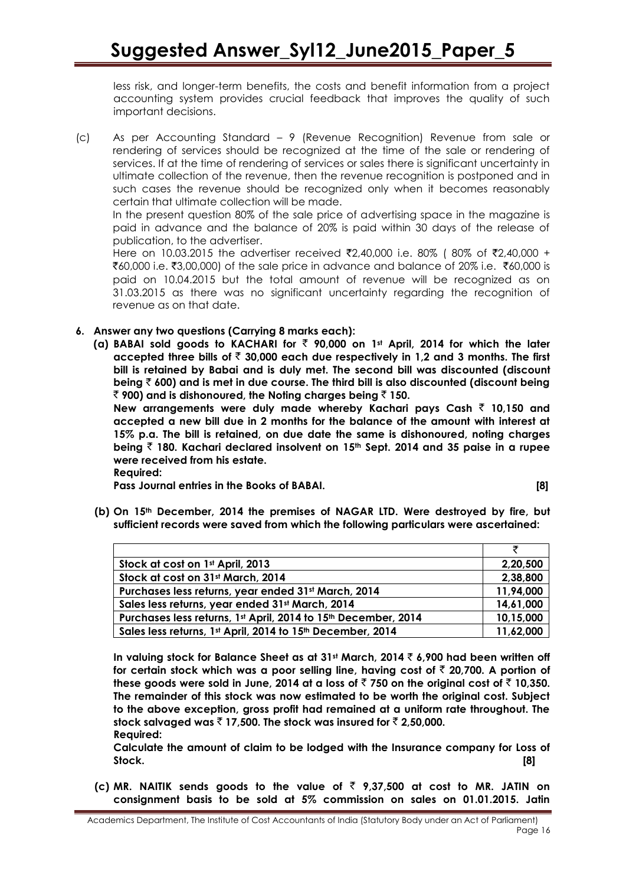less risk, and longer-term benefits, the costs and benefit information from a project accounting system provides crucial feedback that improves the quality of such important decisions.

(c) As per Accounting Standard – 9 (Revenue Recognition) Revenue from sale or rendering of services should be recognized at the time of the sale or rendering of services. If at the time of rendering of services or sales there is significant uncertainty in ultimate collection of the revenue, then the revenue recognition is postponed and in such cases the revenue should be recognized only when it becomes reasonably certain that ultimate collection will be made.

In the present question 80% of the sale price of advertising space in the magazine is paid in advance and the balance of 20% is paid within 30 days of the release of publication, to the advertiser.

Here on 10.03.2015 the advertiser received ₹2,40,000 i.e. 80% (80% of ₹2,40,000 + ₹60,000 i.e. ₹3,00,000) of the sale price in advance and balance of 20% i.e. ₹60,000 is paid on 10.04.2015 but the total amount of revenue will be recognized as on 31.03.2015 as there was no significant uncertainty regarding the recognition of revenue as on that date.

**6. Answer any two questions (Carrying 8 marks each):**

**(a) BABAI sold goods to KACHARI for** ` **90,000 on 1st April, 2014 for which the later accepted three bills of** ` **30,000 each due respectively in 1,2 and 3 months. The first bill is retained by Babai and is duly met. The second bill was discounted (discount being** ` **600) and is met in due course. The third bill is also discounted (discount being**  ` **900) and is dishonoured, the Noting charges being** ` **150.**

**New arrangements were duly made whereby Kachari pays Cash ₹ 10,150 and accepted a new bill due in 2 months for the balance of the amount with interest at 15% p.a. The bill is retained, on due date the same is dishonoured, noting charges being** ` **180. Kachari declared insolvent on 15th Sept. 2014 and 35 paise in a rupee were received from his estate.** 

**Required:** 

**Pass Journal entries in the Books of BABAI. [8]**

- 
- **(b) On 15th December, 2014 the premises of NAGAR LTD. Were destroyed by fire, but sufficient records were saved from which the following particulars were ascertained:**

|                                                                | ₹         |
|----------------------------------------------------------------|-----------|
| Stock at cost on 1st April, 2013                               | 2,20,500  |
| Stock at cost on 31st March, 2014                              | 2,38,800  |
| Purchases less returns, year ended 31st March, 2014            | 11,94,000 |
| Sales less returns, year ended 31st March, 2014                | 14,61,000 |
| Purchases less returns, 1st April, 2014 to 15th December, 2014 | 10,15,000 |
| Sales less returns, 1st April, 2014 to 15th December, 2014     | 11,62,000 |

**In valuing stock for Balance Sheet as at 31st March, 2014** ` **6,900 had been written off for certain stock which was a poor selling line, having cost of** ` **20,700. A portion of**  these goods were sold in June, 2014 at a loss of  $\bar{z}$  750 on the original cost of  $\bar{z}$  10,350. **The remainder of this stock was now estimated to be worth the original cost. Subject to the above exception, gross profit had remained at a uniform rate throughout. The**  stock salvaged was  $\bar{z}$  17,500. The stock was insured for  $\bar{z}$  2,50,000. **Required:** 

**Calculate the amount of claim to be lodged with the Insurance company for Loss of Stock. [8]**

**(c)** MR. NAITIK sends goods to the value of  $\bar{\tau}$  9,37,500 at cost to MR. JATIN on **consignment basis to be sold at 5% commission on sales on 01.01.2015. Jatin**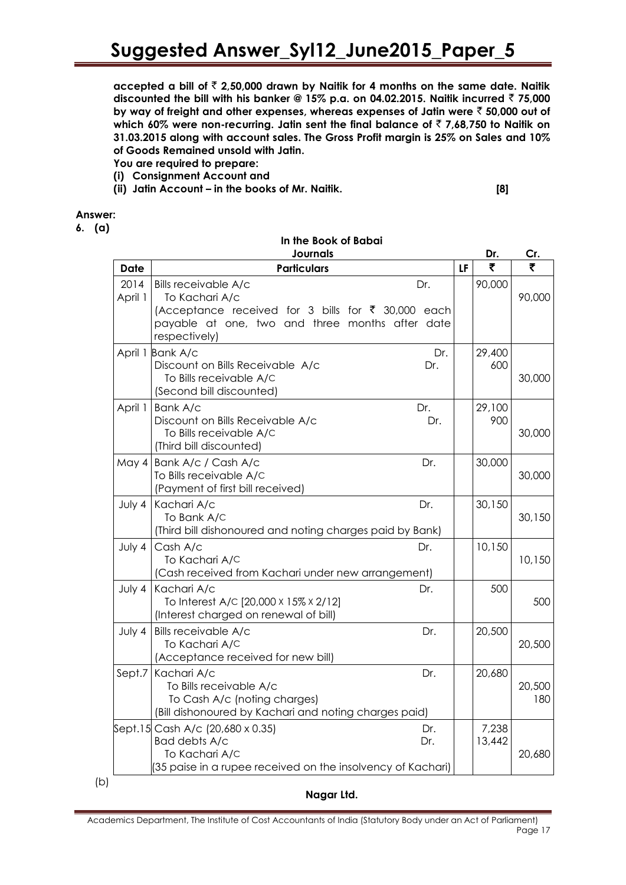accepted a bill of  $\bar{z}$  2,50,000 drawn by Naitik for 4 months on the same date. Naitik **discounted the bill with his banker @ 15% p.a. on 04.02.2015. Naitik incurred** ` **75,000 by way of freight and other expenses, whereas expenses of Jatin were** ` **50,000 out of**  which 60% were non-recurring. Jatin sent the final balance of ₹7,68,750 to Naitik on **31.03.2015 along with account sales. The Gross Profit margin is 25% on Sales and 10% of Goods Remained unsold with Jatin.**

**In the Book of Babai**

- **You are required to prepare:**
- **(i) Consignment Account and**
- **(ii) Jatin Account – in the books of Mr. Naitik. [8]**

#### **Answer:**

(b)

**6. (a)**

|                 | <b>Journals</b>                                                                                                                                                         |    | Dr.             | Cr.           |
|-----------------|-------------------------------------------------------------------------------------------------------------------------------------------------------------------------|----|-----------------|---------------|
| Date            | <b>Particulars</b>                                                                                                                                                      | LF | ₹               | ₹             |
| 2014<br>April 1 | Bills receivable A/c<br>Dr.<br>To Kachari A/c<br>(Acceptance received for 3 bills for ₹ 30,000 each<br>payable at one, two and three months after date<br>respectively) |    | 90,000          | 90,000        |
|                 | April 1 Bank A/c<br>Dr.<br>Discount on Bills Receivable A/c<br>Dr.<br>To Bills receivable A/C<br>(Second bill discounted)                                               |    | 29,400<br>600   | 30,000        |
| April 1         | Dr.<br>Bank A/c<br>Discount on Bills Receivable A/c<br>Dr.<br>To Bills receivable A/C<br>(Third bill discounted)                                                        |    | 29,100<br>900   | 30,000        |
| May 4           | Bank A/c / Cash A/c<br>Dr.<br>To Bills receivable A/C<br>(Payment of first bill received)                                                                               |    | 30,000          | 30,000        |
| July 4          | Kachari A/c<br>Dr.<br>To Bank A/C<br>(Third bill dishonoured and noting charges paid by Bank)                                                                           |    | 30,150          | 30,150        |
| July 4          | Cash A/c<br>Dr.<br>To Kachari A/C<br>(Cash received from Kachari under new arrangement)                                                                                 |    | 10,150          | 10,150        |
| July 4          | Kachari A/c<br>Dr.<br>To Interest A/C [20,000 x 15% x 2/12]<br>(Interest charged on renewal of bill)                                                                    |    | 500             | 500           |
| July 4          | Bills receivable A/c<br>Dr.<br>To Kachari A/C<br>(Acceptance received for new bill)                                                                                     |    | 20,500          | 20,500        |
| Sept.7          | Kachari A/c<br>Dr.<br>To Bills receivable A/c<br>To Cash A/c (noting charges)<br>(Bill dishonoured by Kachari and noting charges paid)                                  |    | 20,680          | 20,500<br>180 |
|                 | Sept.15 Cash A/c (20,680 x 0.35)<br>Dr.<br>Bad debts A/c<br>Dr.<br>To Kachari A/C<br>(35 paise in a rupee received on the insolvency of Kachari)                        |    | 7,238<br>13,442 | 20,680        |

#### **Nagar Ltd.**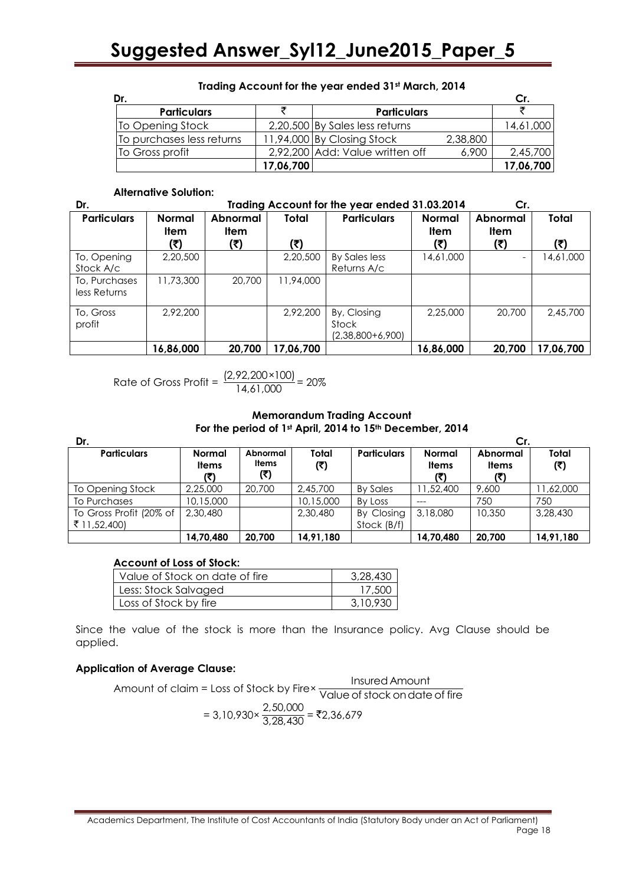| Dr.                       |           |                                 |          | Cr.       |
|---------------------------|-----------|---------------------------------|----------|-----------|
| <b>Particulars</b>        |           | <b>Particulars</b>              |          |           |
| To Opening Stock          |           | 2,20,500 By Sales less returns  |          | 14,61,000 |
| To purchases less returns |           | 11,94,000 By Closing Stock      | 2,38,800 |           |
| To Gross profit           |           | 2,92,200 Add: Value written off | 6,900    | 2,45,700  |
|                           | 17,06,700 |                                 |          | 17,06,700 |

#### **Trading Account for the year ended 31st March, 2014**

#### **Alternative Solution:**

| Dr.                           | Trading Account for the year ended 31.03.2014 |                                |              |                                            |                                     | Cr.                      |              |  |
|-------------------------------|-----------------------------------------------|--------------------------------|--------------|--------------------------------------------|-------------------------------------|--------------------------|--------------|--|
| <b>Particulars</b>            | <b>Normal</b><br><b>Item</b>                  | <b>Abnormal</b><br>ltem<br>(₹) | Total<br>(₹) | <b>Particulars</b>                         | <b>Normal</b><br><b>Item</b><br>(₹) | Abnormal<br>ltem<br>(₹)  | Total<br>(₹) |  |
| To, Opening<br>Stock A/c      | 2,20,500                                      |                                | 2,20,500     | By Sales less<br>Returns A/c               | 14,61,000                           | $\overline{\phantom{0}}$ | 14,61,000    |  |
| To, Purchases<br>less Returns | 11,73,300                                     | 20,700                         | 11,94,000    |                                            |                                     |                          |              |  |
| To, Gross<br>profit           | 2,92,200                                      |                                | 2,92,200     | By, Closing<br>Stock<br>$(2,38,800+6,900)$ | 2,25,000                            | 20,700                   | 2,45,700     |  |
|                               | 16,86,000                                     | 20,700                         | 17,06,700    |                                            | 16,86,000                           | 20,700                   | 17,06,700    |  |

Rate of Gross Profit = 
$$
\frac{(2,92,200 \times 100)}{14,61,000} = 20\%
$$

#### **Memorandum Trading Account For the period of 1st April, 2014 to 15th December, 2014**

| Dr.                                     |                                      |                                 |              |                           |                               | Сr.                      |                     |
|-----------------------------------------|--------------------------------------|---------------------------------|--------------|---------------------------|-------------------------------|--------------------------|---------------------|
| <b>Particulars</b>                      | <b>Normal</b><br><b>Items</b><br>(₹) | Abnormal<br><b>Items</b><br>(3) | Total<br>(₹) | <b>Particulars</b>        | <b>Normal</b><br><b>Items</b> | Abnormal<br><b>Items</b> | <b>Total</b><br>(3) |
| To Opening Stock                        | 2,25,000                             | 20,700                          | 2,45,700     | By Sales                  | 1,52,400                      | 9,600                    | 11,62,000           |
| To Purchases                            | 10,15,000                            |                                 | 10,15,000    | By Loss                   |                               | 750                      | 750                 |
| To Gross Profit (20% of<br>₹ 11,52,400) | 2,30,480                             |                                 | 2,30,480     | By Closing<br>Stock (B/f) | 3,18,080                      | 10.350                   | 3,28,430            |
|                                         | 14,70,480                            | 20.700                          | 14,91,180    |                           | 14,70,480                     | 20.700                   | 14,91,180           |

#### **Account of Loss of Stock:**

| 'Value of Stock on date of fire | 3,28,430 |
|---------------------------------|----------|
| Less: Stock Salvaged            | 17,500   |
| Loss of Stock by fire           | 3,10,930 |

Since the value of the stock is more than the Insurance policy. Avg Clause should be applied.

#### **Application of Average Clause:**

Amount of claim = Loss of Stock by Firex This resear where the Amount of claim Insured Amount

$$
= 3,10,930 \times \frac{2,50,000}{3,28,430} = ₹2,36,679
$$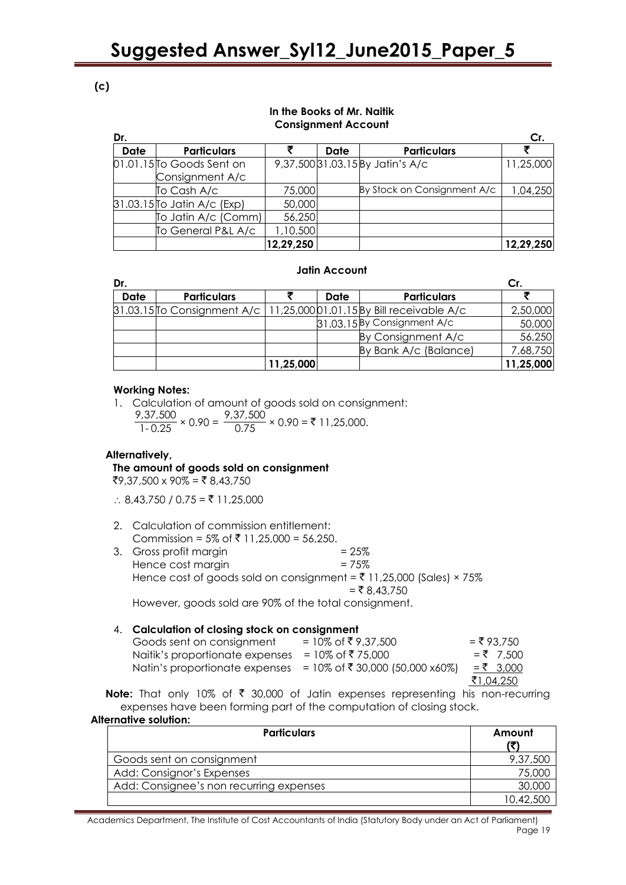### **(c)**

#### **In the Books of Mr. Naitik Consignment Account**

| Dr.         |                               |           |      |                                  | Cr.       |
|-------------|-------------------------------|-----------|------|----------------------------------|-----------|
| <b>Date</b> | <b>Particulars</b>            |           | Date | <b>Particulars</b>               |           |
|             | 01.01.15 To Goods Sent on     |           |      | 9,37,500 31.03.15 By Jatin's A/c | 11,25,000 |
|             | Consignment A/c               |           |      |                                  |           |
|             | To Cash A/c                   | 75,000    |      | By Stock on Consignment A/c      | 1,04,250  |
|             | $31.03.15$ To Jatin A/c (Exp) | 50,000    |      |                                  |           |
|             | To Jatin A/c (Comm)           | 56,250    |      |                                  |           |
|             | To General P&L A/c            | 1,10,500  |      |                                  |           |
|             |                               | 12,29,250 |      |                                  | 12,29,250 |

#### **Jatin Account**

| Dr.  |                    |           |      |                                                                         |           |
|------|--------------------|-----------|------|-------------------------------------------------------------------------|-----------|
| Date | <b>Particulars</b> |           | Date | <b>Particulars</b>                                                      |           |
|      |                    |           |      | 31.03.15 To Consignment A/c   11,25,000 01.01.15 By Bill receivable A/c | 2,50,000  |
|      |                    |           |      | 31.03.15 By Consignment A/c                                             | 50,000    |
|      |                    |           |      | By Consignment A/c                                                      | 56,250    |
|      |                    |           |      | By Bank A/c (Balance)                                                   | 7,68,750  |
|      |                    | 11,25,000 |      |                                                                         | 11,25,000 |

#### **Working Notes:**

1. Calculation of amount of goods sold on consignment: 9,37,500  $\frac{9,37,500}{1-0.25} \times 0.90 = \frac{9,37,500}{0.75}$  $\frac{0.9888}{0.75}$  × 0.90 = ₹ 11,25,000.

#### **Alternatively,**

#### **The amount of goods sold on consignment**

 $\overline{5}9,37,500 \times 90\% = \overline{5}8,43,750$ 

 $\therefore$  8,43,750 / 0.75 = ₹ 11,25,000

- 2. Calculation of commission entitlement: Commission = 5% of ₹ 11,25,000 = 56,250.
- 3. Gross profit margin  $= 25\%$ Hence cost margin  $= 75\%$ Hence cost of goods sold on consignment =  $\overline{5}$  11,25,000 (Sales) × 75%  $=$  ₹ 8,43,750 However, goods sold are 90% of the total consignment.

#### 4. **Calculation of closing stock on consignment**

| Goods sent on consignment                                         | = 10% of ₹9,37,500 | $=$ ₹ 93.750 |
|-------------------------------------------------------------------|--------------------|--------------|
| Naitik's proportionate expenses                                   | = 10% of ₹ 75,000  | $=$ ₹ 7.500  |
| Natin's proportionate expenses = $10\%$ of ₹ 30,000 (50,000 x60%) |                    | $= 73,000$   |
|                                                                   |                    | ₹1,04,250    |

**Note:** That only 10% of ₹ 30,000 of Jatin expenses representing his non-recurring expenses have been forming part of the computation of closing stock.

#### **Alternative solution: Particulars Amount (**`**)** Goods sent on consignment example 9,37,500 Add: Consignor"s Expenses 75,000 Add: Consignee's non recurring expenses and the state of the 30,000 state 30,000 state 30,000 state 30,000 state 30,000 state 30,000 state 30,000 state 30,000 state 30,000 state 30,000 state 30,000 state 30,000 state 30,00 10,42,500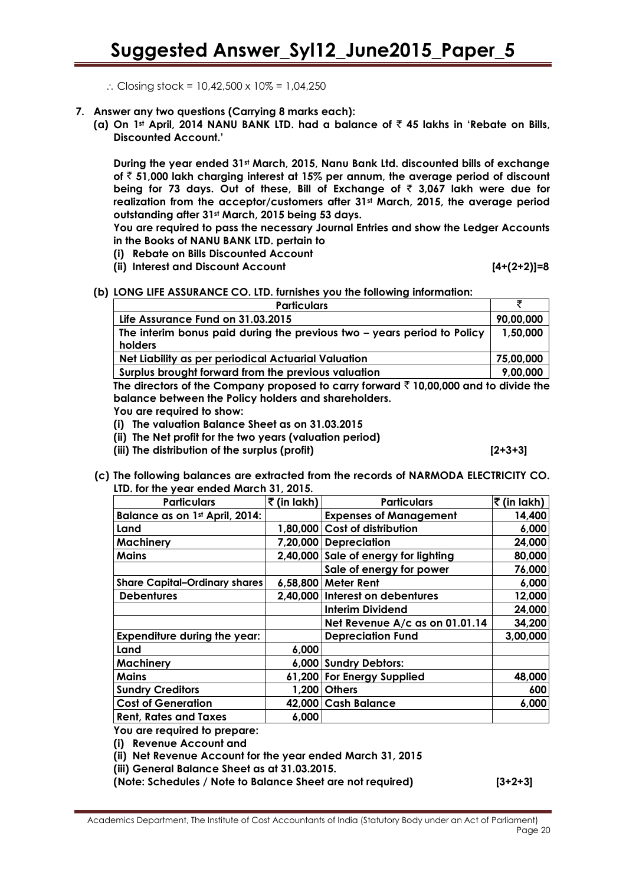- $\therefore$  Closing stock = 10,42,500 x 10% = 1,04,250
- **7. Answer any two questions (Carrying 8 marks each):**
	- **(a) On 1st April, 2014 NANU BANK LTD. had a balance of** ` **45 lakhs in 'Rebate on Bills, Discounted Account.'**

**During the year ended 31st March, 2015, Nanu Bank Ltd. discounted bills of exchange of** ` **51,000 lakh charging interest at 15% per annum, the average period of discount being for 73 days. Out of these, Bill of Exchange of** ` **3,067 lakh were due for realization from the acceptor/customers after 31st March, 2015, the average period outstanding after 31st March, 2015 being 53 days.** 

**You are required to pass the necessary Journal Entries and show the Ledger Accounts in the Books of NANU BANK LTD. pertain to**

- **(i) Rebate on Bills Discounted Account**
- **(ii) Interest and Discount Account [4+(2+2)]=8**

**(b) LONG LIFE ASSURANCE CO. LTD. furnishes you the following information:** 

| <b>Particulars</b>                                                                        |           |
|-------------------------------------------------------------------------------------------|-----------|
| Life Assurance Fund on 31.03.2015                                                         | 90,00,000 |
| The interim bonus paid during the previous two - years period to Policy                   | 1,50,000  |
| holders                                                                                   |           |
| Net Liability as per periodical Actuarial Valuation                                       | 75,00,000 |
| Surplus brought forward from the previous valuation                                       | 9,00,000  |
| The directors of the Company proposed to carry forward $\bar{z}$ 10,000 and to divide the |           |

**The directors of the Company proposed to carry forward** ` **10,00,000 and to divide the balance between the Policy holders and shareholders.** 

**You are required to show:** 

- **(i) The valuation Balance Sheet as on 31.03.2015**
- **(ii) The Net profit for the two years (valuation period)**
- **(iii) The distribution of the surplus (profit) [2+3+3]**

**(c) The following balances are extracted from the records of NARMODA ELECTRICITY CO. LTD. for the year ended March 31, 2015.**

| <b>Particulars</b>                   | $\bar{z}$ (in lakh) | <b>Particulars</b>                   | ₹ (in lakh) |
|--------------------------------------|---------------------|--------------------------------------|-------------|
| Balance as on 1st April, 2014:       |                     | <b>Expenses of Management</b>        | 14,400      |
| Land                                 |                     | 1,80,000 Cost of distribution        | 6,000       |
| <b>Machinery</b>                     | 7,20,000            | <b>Depreciation</b>                  | 24,000      |
| Mains                                |                     | 2,40,000 Sale of energy for lighting | 80,000      |
|                                      |                     | Sale of energy for power             | 76,000      |
| <b>Share Capital-Ordinary shares</b> |                     | 6,58,800 Meter Rent                  | 6,000       |
| <b>Debentures</b>                    |                     | 2,40,000 Interest on debentures      | 12,000      |
|                                      |                     | <b>Interim Dividend</b>              | 24,000      |
|                                      |                     | Net Revenue A/c as on 01.01.14       | 34,200      |
| <b>Expenditure during the year:</b>  |                     | <b>Depreciation Fund</b>             | 3,00,000    |
| Land                                 | 6,000               |                                      |             |
| <b>Machinery</b>                     |                     | 6,000 Sundry Debtors:                |             |
| <b>Mains</b>                         |                     | 61,200 For Energy Supplied           | 48,000      |
| <b>Sundry Creditors</b>              |                     | 1,200 Others                         | 600         |
| <b>Cost of Generation</b>            |                     | 42,000 Cash Balance                  | 6,000       |
| <b>Rent, Rates and Taxes</b>         | 6,000               |                                      |             |

**You are required to prepare:** 

**(i) Revenue Account and** 

**(ii) Net Revenue Account for the year ended March 31, 2015**

**(iii) General Balance Sheet as at 31.03.2015.**

**(Note: Schedules / Note to Balance Sheet are not required) [3+2+3]**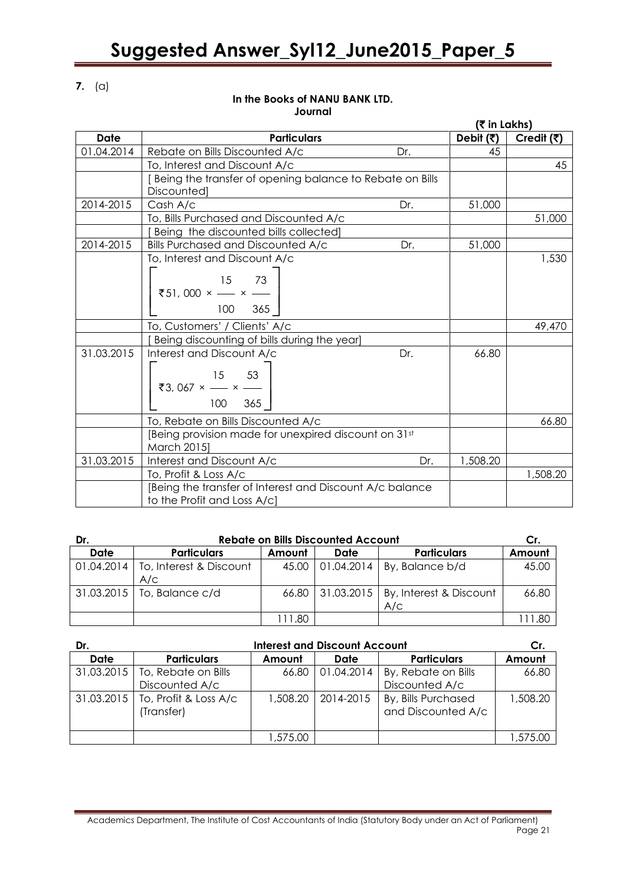**7.** (a)

#### **In the Books of NANU BANK LTD. Journal**

 **(**` **in Lakhs) Date**  $\qquad$  **Particulars Particulars Debit (₹) Credit (₹)** 01.04.2014 Rebate on Bills Discounted A/c Dr. 145 To, Interest and Discount A/c 45 [ Being the transfer of opening balance to Rebate on Bills **Discounted1** 2014-2015 Cash A/c Dr. 51,000 To, Bills Purchased and Discounted A/c 51,000 [ Being the discounted bills collected] 2014-2015 | Bills Purchased and Discounted A/c Dr. 151,000 To, Interest and Discount A/c<br>  $\begin{bmatrix} 15 & 73 \\ 35 & 1000 \\ 0 & 0 & 0 \end{bmatrix}$  $\begin{bmatrix} 15 & 73 \\ 751,000 \times - \times - \times \\ 100 & 365 \end{bmatrix}$ 15 73 100 365 1,530 To, Customers' / Clients' A/c 49,470 [ Being discounting of bills during the year] 31.03.2015 Interest and Discount A/c Dr.<br> $\begin{bmatrix} 15 & 53 \end{bmatrix}$ ₹ ₹3, 067 ×  $\frac{15}{100}$  ×  $\frac{53}{365}$ 15 53 100 365 66.80 To, Rebate on Bills Discounted A/c 66.80 [Being provision made for unexpired discount on 31st March 2015] 31.03.2015 Interest and Discount A/c Dr. 1,508.20 To, Profit & Loss A/c 1,508.20 [Being the transfer of Interest and Discount A/c balance to the Profit and Loss A/c]

| Dr.        | <b>Rebate on Bills Discounted Account</b> |        |                    |                                                   | Cr.    |
|------------|-------------------------------------------|--------|--------------------|---------------------------------------------------|--------|
| Date       | <b>Particulars</b>                        | Amount | Date               | <b>Particulars</b>                                | Amount |
| 01.04.2014 | To, Interest & Discount<br>A/C            |        | 45.00   01.04.2014 | By, Balance b/d                                   | 45.00  |
|            | 31.03.2015   To, Balance c/d              |        |                    | 66.80 31.03.2015   By, Interest & Discount<br>A/C | 66.80  |
|            |                                           | 111.80 |                    |                                                   |        |

| Dr.        | <b>Interest and Discount Account</b>             |          |            |                                           | Cr.      |
|------------|--------------------------------------------------|----------|------------|-------------------------------------------|----------|
| Date       | <b>Particulars</b>                               | Amount   | Date       | <b>Particulars</b>                        | Amount   |
| 31,03.2015 | To, Rebate on Bills<br>Discounted A/c            | 66.80    | 01.04.2014 | By, Rebate on Bills<br>Discounted A/c     | 66.80    |
|            | 31.03.2015   To, Profit & Loss A/c<br>(Transfer) | 1,508.20 | 2014-2015  | By, Bills Purchased<br>and Discounted A/c | 1,508.20 |
|            |                                                  | 1,575.00 |            |                                           | 1,575.00 |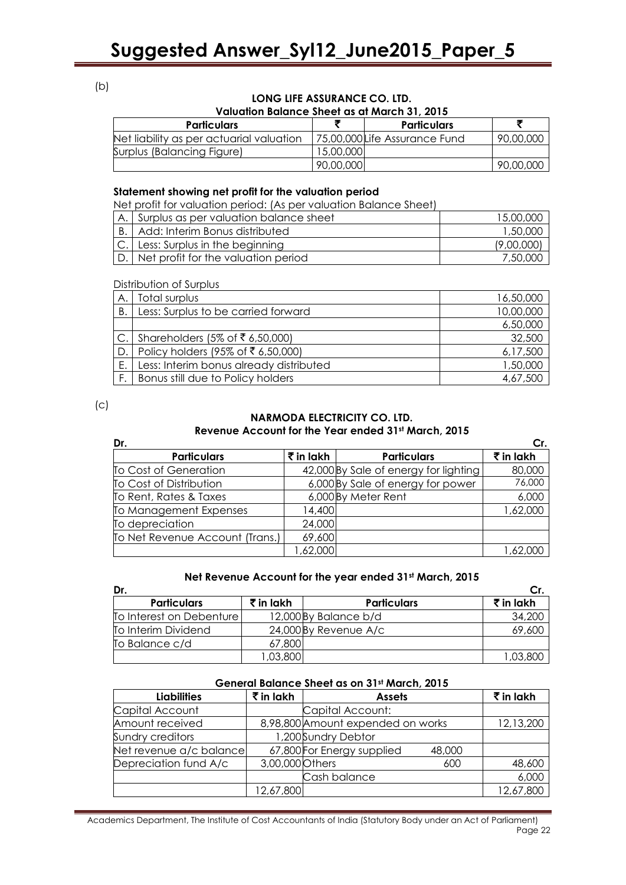(b)

#### **LONG LIFE ASSURANCE CO. LTD. Valuation Balance Sheet as at March 31, 2015**

| , and and it panamed bilder as an interent prised to |           |                               |           |  |
|------------------------------------------------------|-----------|-------------------------------|-----------|--|
| <b>Particulars</b>                                   |           | <b>Particulars</b>            |           |  |
| Net liability as per actuarial valuation             |           | 75,00,000 Life Assurance Fund | 90,00,000 |  |
| Surplus (Balancing Figure)                           | 15,00,000 |                               |           |  |
|                                                      | 90,00,000 |                               | 90,00,000 |  |

#### **Statement showing net profit for the valuation period**

Net profit for valuation period: (As per valuation Balance Sheet)

|    | Surplus as per valuation balance sheet | 15,00,000  |
|----|----------------------------------------|------------|
| B. | Add: Interim Bonus distributed         | 1,50,000   |
|    | C. Less: Surplus in the beginning      | (9,00,000) |
|    | D. Net profit for the valuation period | 7,50,000   |

Distribution of Surplus

| Α.            | Total surplus                           | 16,50,000 |
|---------------|-----------------------------------------|-----------|
| В.            | Less: Surplus to be carried forward     | 10,00,000 |
|               |                                         | 6,50,000  |
| $\mathsf{C}.$ | Shareholders (5% of ₹ 6,50,000)         | 32,500    |
| ID.           | Policy holders (95% of ₹ 6,50,000)      | 6,17,500  |
| Е.            | Less: Interim bonus already distributed | 1,50,000  |
|               | Bonus still due to Policy holders       | 4,67,500  |

 $(c)$ 

#### **NARMODA ELECTRICITY CO. LTD. Revenue Account for the Year ended 31st March, 2015**

| Dr.                             |           |                                       | Cr.                  |
|---------------------------------|-----------|---------------------------------------|----------------------|
| <b>Particulars</b>              | ₹ in lakh | <b>Particulars</b>                    | $\bar{\tau}$ in lakh |
| To Cost of Generation           |           | 42,000 By Sale of energy for lighting | 80,000               |
| To Cost of Distribution         |           | 6,000 By Sale of energy for power     | 76,000               |
| To Rent, Rates & Taxes          |           | 6,000 By Meter Rent                   | 6,000                |
| To Management Expenses          | 14,400    |                                       | 1,62,000             |
| To depreciation                 | 24,000    |                                       |                      |
| To Net Revenue Account (Trans.) | 69,600    |                                       |                      |
|                                 | ,62,000   |                                       | 1,62,000             |

#### **Net Revenue Account for the year ended 31st March, 2015**

| Dr.                      |                                  |                       |                      |  |  |
|--------------------------|----------------------------------|-----------------------|----------------------|--|--|
| <b>Particulars</b>       | $\bar{\bar{\mathbf{z}}}$ in lakh | <b>Particulars</b>    | $\bar{\tau}$ in lakh |  |  |
| To Interest on Debenture |                                  | 12,000 By Balance b/d | 34,200               |  |  |
| To Interim Dividend      |                                  | 24,000 By Revenue A/c | 69,600               |  |  |
| To Balance c/d           | 67,800                           |                       |                      |  |  |
|                          | ,03,800                          |                       | 1,03,800             |  |  |

#### **General Balance Sheet as on 31st March, 2015**

| <b>Liabilities</b>      | $\bar{\tau}$ in lakh | <b>Assets</b>                     |        | $\bar{\tau}$ in lakh |
|-------------------------|----------------------|-----------------------------------|--------|----------------------|
| Capital Account         |                      | Capital Account:                  |        |                      |
| Amount received         |                      | 8,98,800 Amount expended on works |        | 12,13,200            |
| Sundry creditors        |                      | 1,200Sundry Debtor                |        |                      |
| Net revenue a/c balance |                      | 67,800 For Energy supplied        | 48,000 |                      |
| Depreciation fund A/c   | 3,00,000 Others      |                                   | 600    | 48,600               |
|                         |                      | Cash balance                      |        | 6,000                |
|                         | 12,67,800            |                                   |        | 12,67,800            |